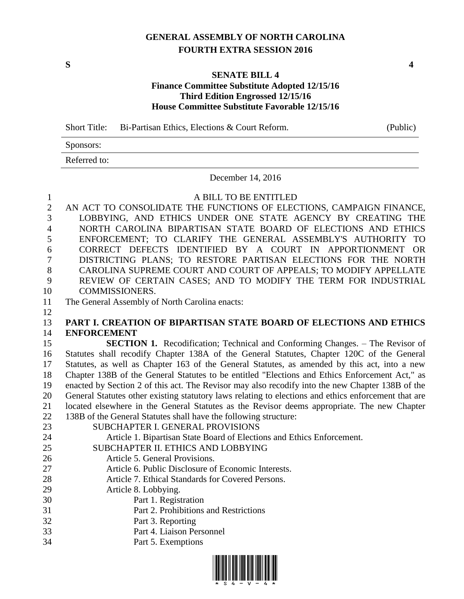# **GENERAL ASSEMBLY OF NORTH CAROLINA FOURTH EXTRA SESSION 2016**

**S 4**

### **SENATE BILL 4 Finance Committee Substitute Adopted 12/15/16 Third Edition Engrossed 12/15/16 House Committee Substitute Favorable 12/15/16**

Short Title: Bi-Partisan Ethics, Elections & Court Reform. (Public)

Sponsors: Referred to:

December 14, 2016

| $\mathbf{1}$   | A BILL TO BE ENTITLED                                                                                |
|----------------|------------------------------------------------------------------------------------------------------|
| $\overline{2}$ | AN ACT TO CONSOLIDATE THE FUNCTIONS OF ELECTIONS, CAMPAIGN FINANCE,                                  |
| 3              | LOBBYING, AND ETHICS UNDER ONE STATE AGENCY BY CREATING THE                                          |
| $\overline{4}$ | NORTH CAROLINA BIPARTISAN STATE BOARD OF ELECTIONS AND ETHICS                                        |
| 5              | ENFORCEMENT; TO CLARIFY THE GENERAL ASSEMBLY'S AUTHORITY TO                                          |
| 6              | CORRECT DEFECTS IDENTIFIED BY A COURT IN APPORTIONMENT<br><b>OR</b>                                  |
| 7              | DISTRICTING PLANS; TO RESTORE PARTISAN ELECTIONS FOR THE NORTH                                       |
| 8              | CAROLINA SUPREME COURT AND COURT OF APPEALS; TO MODIFY APPELLATE                                     |
| 9              | REVIEW OF CERTAIN CASES; AND TO MODIFY THE TERM FOR INDUSTRIAL                                       |
| 10             | <b>COMMISSIONERS.</b>                                                                                |
| 11             | The General Assembly of North Carolina enacts:                                                       |
| 12             |                                                                                                      |
| 13             | PART I. CREATION OF BIPARTISAN STATE BOARD OF ELECTIONS AND ETHICS                                   |
| 14             | <b>ENFORCEMENT</b>                                                                                   |
| 15             | <b>SECTION 1.</b> Recodification; Technical and Conforming Changes. – The Revisor of                 |
| 16             | Statutes shall recodify Chapter 138A of the General Statutes, Chapter 120C of the General            |
| 17             | Statutes, as well as Chapter 163 of the General Statutes, as amended by this act, into a new         |
| 18             | Chapter 138B of the General Statutes to be entitled "Elections and Ethics Enforcement Act," as       |
| 19             | enacted by Section 2 of this act. The Revisor may also recodify into the new Chapter 138B of the     |
| 20             | General Statutes other existing statutory laws relating to elections and ethics enforcement that are |
| 21             | located elsewhere in the General Statutes as the Revisor deems appropriate. The new Chapter          |
| 22             | 138B of the General Statutes shall have the following structure:                                     |
| 23             | SUBCHAPTER I. GENERAL PROVISIONS                                                                     |
| 24             | Article 1. Bipartisan State Board of Elections and Ethics Enforcement.                               |
| 25             | SUBCHAPTER II. ETHICS AND LOBBYING                                                                   |
| 26             | Article 5. General Provisions.                                                                       |
| 27             | Article 6. Public Disclosure of Economic Interests.                                                  |
| 28             | Article 7. Ethical Standards for Covered Persons.                                                    |
| 29             | Article 8. Lobbying.                                                                                 |
| 30             | Part 1. Registration                                                                                 |
| 31             | Part 2. Prohibitions and Restrictions                                                                |
| 32             | Part 3. Reporting                                                                                    |
| 33             | Part 4. Liaison Personnel                                                                            |
| 34             | Part 5. Exemptions                                                                                   |

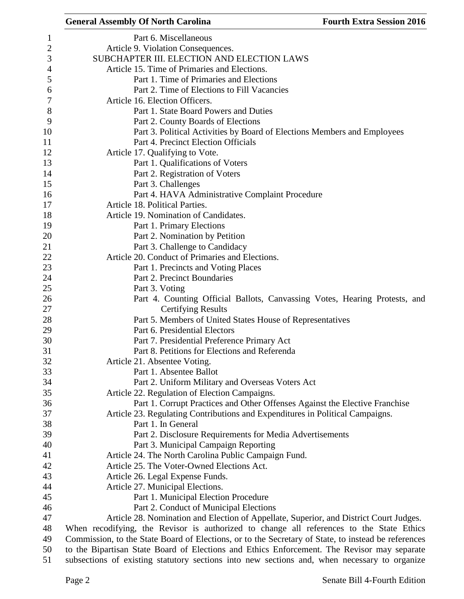## **General Assembly Of North Carolina Fourth Extra Session 2016**  Part 6. Miscellaneous Article 9. Violation Consequences. SUBCHAPTER III. ELECTION AND ELECTION LAWS Article 15. Time of Primaries and Elections. Part 1. Time of Primaries and Elections Part 2. Time of Elections to Fill Vacancies Article 16. Election Officers. Part 1. State Board Powers and Duties Part 2. County Boards of Elections Part 3. Political Activities by Board of Elections Members and Employees Part 4. Precinct Election Officials **Article 17. Qualifying to Vote.**  Part 1. Qualifications of Voters Part 2. Registration of Voters Part 3. Challenges Part 4. HAVA Administrative Complaint Procedure Article 18. Political Parties. Article 19. Nomination of Candidates. Part 1. Primary Elections Part 2. Nomination by Petition 21 Part 3. Challenge to Candidacy Article 20. Conduct of Primaries and Elections. Part 1. Precincts and Voting Places Part 2. Precinct Boundaries Part 3. Voting Part 4. Counting Official Ballots, Canvassing Votes, Hearing Protests, and Certifying Results Part 5. Members of United States House of Representatives Part 6. Presidential Electors Part 7. Presidential Preference Primary Act Part 8. Petitions for Elections and Referenda Article 21. Absentee Voting. Part 1. Absentee Ballot Part 2. Uniform Military and Overseas Voters Act Article 22. Regulation of Election Campaigns. Part 1. Corrupt Practices and Other Offenses Against the Elective Franchise Article 23. Regulating Contributions and Expenditures in Political Campaigns. Part 1. In General Part 2. Disclosure Requirements for Media Advertisements Part 3. Municipal Campaign Reporting Article 24. The North Carolina Public Campaign Fund. Article 25. The Voter-Owned Elections Act. Article 26. Legal Expense Funds. Article 27. Municipal Elections. Part 1. Municipal Election Procedure Part 2. Conduct of Municipal Elections Article 28. Nomination and Election of Appellate, Superior, and District Court Judges. When recodifying, the Revisor is authorized to change all references to the State Ethics Commission, to the State Board of Elections, or to the Secretary of State, to instead be references to the Bipartisan State Board of Elections and Ethics Enforcement. The Revisor may separate subsections of existing statutory sections into new sections and, when necessary to organize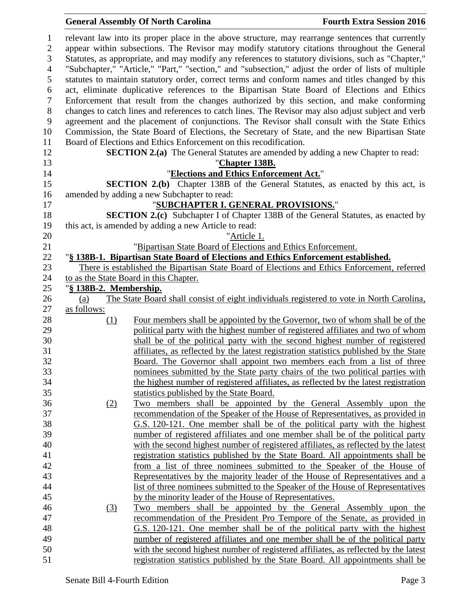relevant law into its proper place in the above structure, may rearrange sentences that currently appear within subsections. The Revisor may modify statutory citations throughout the General Statutes, as appropriate, and may modify any references to statutory divisions, such as "Chapter," "Subchapter," "Article," "Part," "section," and "subsection," adjust the order of lists of multiple statutes to maintain statutory order, correct terms and conform names and titles changed by this act, eliminate duplicative references to the Bipartisan State Board of Elections and Ethics Enforcement that result from the changes authorized by this section, and make conforming changes to catch lines and references to catch lines. The Revisor may also adjust subject and verb agreement and the placement of conjunctions. The Revisor shall consult with the State Ethics Commission, the State Board of Elections, the Secretary of State, and the new Bipartisan State Board of Elections and Ethics Enforcement on this recodification. **SECTION 2.(a)** The General Statutes are amended by adding a new Chapter to read: "**Chapter 138B.** "**Elections and Ethics Enforcement Act.**" **SECTION 2.(b)** Chapter 138B of the General Statutes, as enacted by this act, is amended by adding a new Subchapter to read: "**SUBCHAPTER I. GENERAL PROVISIONS.**" **SECTION 2.(c)** Subchapter I of Chapter 138B of the General Statutes, as enacted by this act, is amended by adding a new Article to read: "Article 1. "Bipartisan State Board of Elections and Ethics Enforcement. "**§ 138B-1. Bipartisan State Board of Elections and Ethics Enforcement established.** There is established the Bipartisan State Board of Elections and Ethics Enforcement, referred to as the State Board in this Chapter. "**§ 138B-2. Membership.** (a) The State Board shall consist of eight individuals registered to vote in North Carolina, as follows: 28 (1) Four members shall be appointed by the Governor, two of whom shall be of the political party with the highest number of registered affiliates and two of whom shall be of the political party with the second highest number of registered affiliates, as reflected by the latest registration statistics published by the State Board. The Governor shall appoint two members each from a list of three nominees submitted by the State party chairs of the two political parties with the highest number of registered affiliates, as reflected by the latest registration statistics published by the State Board. (2) Two members shall be appointed by the General Assembly upon the recommendation of the Speaker of the House of Representatives, as provided in G.S. 120-121. One member shall be of the political party with the highest number of registered affiliates and one member shall be of the political party with the second highest number of registered affiliates, as reflected by the latest registration statistics published by the State Board. All appointments shall be from a list of three nominees submitted to the Speaker of the House of Representatives by the majority leader of the House of Representatives and a list of three nominees submitted to the Speaker of the House of Representatives by the minority leader of the House of Representatives. (3) Two members shall be appointed by the General Assembly upon the recommendation of the President Pro Tempore of the Senate, as provided in G.S. 120-121. One member shall be of the political party with the highest number of registered affiliates and one member shall be of the political party with the second highest number of registered affiliates, as reflected by the latest registration statistics published by the State Board. All appointments shall be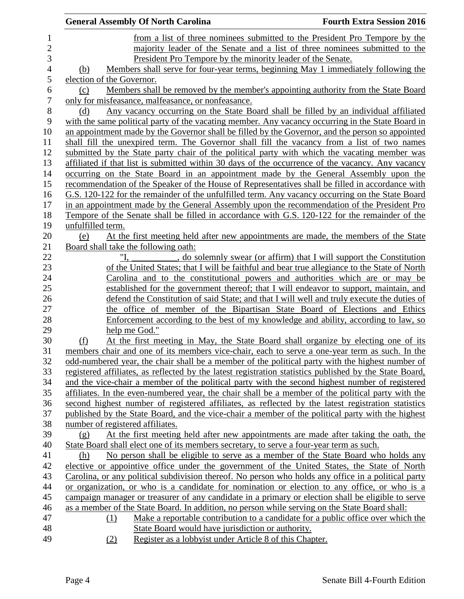| <b>General Assembly Of North Carolina</b>                                                                                                                                                               | <b>Fourth Extra Session 2016</b> |
|---------------------------------------------------------------------------------------------------------------------------------------------------------------------------------------------------------|----------------------------------|
| from a list of three nominees submitted to the President Pro Tempore by the                                                                                                                             |                                  |
| majority leader of the Senate and a list of three nominees submitted to the                                                                                                                             |                                  |
| President Pro Tempore by the minority leader of the Senate.                                                                                                                                             |                                  |
| Members shall serve for four-year terms, beginning May 1 immediately following the<br>(b)                                                                                                               |                                  |
| election of the Governor.                                                                                                                                                                               |                                  |
| Members shall be removed by the member's appointing authority from the State Board<br>(c)                                                                                                               |                                  |
| only for misfeasance, malfeasance, or nonfeasance.                                                                                                                                                      |                                  |
| Any vacancy occurring on the State Board shall be filled by an individual affiliated<br>(d)                                                                                                             |                                  |
| with the same political party of the vacating member. Any vacancy occurring in the State Board in                                                                                                       |                                  |
| an appointment made by the Governor shall be filled by the Governor, and the person so appointed                                                                                                        |                                  |
| shall fill the unexpired term. The Governor shall fill the vacancy from a list of two names                                                                                                             |                                  |
| submitted by the State party chair of the political party with which the vacating member was                                                                                                            |                                  |
| affiliated if that list is submitted within 30 days of the occurrence of the vacancy. Any vacancy                                                                                                       |                                  |
| occurring on the State Board in an appointment made by the General Assembly upon the                                                                                                                    |                                  |
| recommendation of the Speaker of the House of Representatives shall be filled in accordance with                                                                                                        |                                  |
| G.S. 120-122 for the remainder of the unfulfilled term. Any vacancy occurring on the State Board                                                                                                        |                                  |
| in an appointment made by the General Assembly upon the recommendation of the President Pro                                                                                                             |                                  |
| Tempore of the Senate shall be filled in accordance with G.S. 120-122 for the remainder of the                                                                                                          |                                  |
| unfulfilled term.                                                                                                                                                                                       |                                  |
| At the first meeting held after new appointments are made, the members of the State<br>(e)                                                                                                              |                                  |
| Board shall take the following oath:                                                                                                                                                                    |                                  |
| , do solemnly swear (or affirm) that I will support the Constitution                                                                                                                                    |                                  |
| of the United States; that I will be faithful and bear true allegiance to the State of North                                                                                                            |                                  |
| Carolina and to the constitutional powers and authorities which are or may be                                                                                                                           |                                  |
| established for the government thereof; that I will endeavor to support, maintain, and                                                                                                                  |                                  |
| defend the Constitution of said State; and that I will well and truly execute the duties of                                                                                                             |                                  |
| the office of member of the Bipartisan State Board of Elections and Ethics                                                                                                                              |                                  |
| <u>Enforcement according to the best of my knowledge and ability, according to law, so</u>                                                                                                              |                                  |
| help me God."                                                                                                                                                                                           |                                  |
| At the first meeting in May, the State Board shall organize by electing one of its<br>(f)                                                                                                               |                                  |
| members chair and one of its members vice-chair, each to serve a one-year term as such. In the                                                                                                          |                                  |
| odd-numbered year, the chair shall be a member of the political party with the highest number of                                                                                                        |                                  |
| registered affiliates, as reflected by the latest registration statistics published by the State Board,                                                                                                 |                                  |
| and the vice-chair a member of the political party with the second highest number of registered                                                                                                         |                                  |
| affiliates. In the even-numbered year, the chair shall be a member of the political party with the                                                                                                      |                                  |
| second highest number of registered affiliates, as reflected by the latest registration statistics<br>published by the State Board, and the vice-chair a member of the political party with the highest |                                  |
| number of registered affiliates.                                                                                                                                                                        |                                  |
| At the first meeting held after new appointments are made after taking the oath, the<br>(g)                                                                                                             |                                  |
| State Board shall elect one of its members secretary, to serve a four-year term as such.                                                                                                                |                                  |
| No person shall be eligible to serve as a member of the State Board who holds any<br>(h)                                                                                                                |                                  |
| elective or appointive office under the government of the United States, the State of North                                                                                                             |                                  |
| Carolina, or any political subdivision thereof. No person who holds any office in a political party                                                                                                     |                                  |
| or organization, or who is a candidate for nomination or election to any office, or who is a                                                                                                            |                                  |
| campaign manager or treasurer of any candidate in a primary or election shall be eligible to serve                                                                                                      |                                  |
| as a member of the State Board. In addition, no person while serving on the State Board shall:                                                                                                          |                                  |
| Make a reportable contribution to a candidate for a public office over which the<br>(1)                                                                                                                 |                                  |
| State Board would have jurisdiction or authority.                                                                                                                                                       |                                  |
| Register as a lobby ist under Article 8 of this Chapter.<br>(2)                                                                                                                                         |                                  |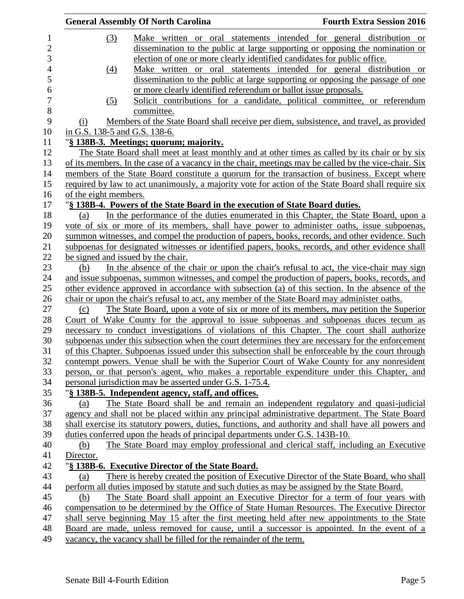|                               | <b>General Assembly Of North Carolina</b>                                                            | <b>Fourth Extra Session 2016</b> |
|-------------------------------|------------------------------------------------------------------------------------------------------|----------------------------------|
| (3)                           | Make written or oral statements intended for general distribution or                                 |                                  |
|                               | dissemination to the public at large supporting or opposing the nomination or                        |                                  |
|                               | election of one or more clearly identified candidates for public office.                             |                                  |
| (4)                           | Make written or oral statements intended for general distribution or                                 |                                  |
|                               | dissemination to the public at large supporting or opposing the passage of one                       |                                  |
|                               | or more clearly identified referendum or ballot issue proposals.                                     |                                  |
| (5)                           | Solicit contributions for a candidate, political committee, or referendum                            |                                  |
|                               | committee.                                                                                           |                                  |
| (i)                           | Members of the State Board shall receive per diem, subsistence, and travel, as provided              |                                  |
| in G.S. 138-5 and G.S. 138-6. |                                                                                                      |                                  |
|                               | "§ 138B-3. Meetings; quorum; majority.                                                               |                                  |
|                               | The State Board shall meet at least monthly and at other times as called by its chair or by six      |                                  |
|                               | of its members. In the case of a vacancy in the chair, meetings may be called by the vice-chair. Six |                                  |
|                               | members of the State Board constitute a quorum for the transaction of business. Except where         |                                  |
|                               | required by law to act unanimously, a majority vote for action of the State Board shall require six  |                                  |
| of the eight members.         |                                                                                                      |                                  |
|                               | "§ 138B-4. Powers of the State Board in the execution of State Board duties.                         |                                  |
| (a)                           | In the performance of the duties enumerated in this Chapter, the State Board, upon a                 |                                  |
|                               | vote of six or more of its members, shall have power to administer oaths, issue subpoenas,           |                                  |
|                               | summon witnesses, and compel the production of papers, books, records, and other evidence. Such      |                                  |
|                               | subpoenas for designated witnesses or identified papers, books, records, and other evidence shall    |                                  |
|                               | be signed and issued by the chair.                                                                   |                                  |
| (b)                           | In the absence of the chair or upon the chair's refusal to act, the vice-chair may sign              |                                  |
|                               | and issue subpoenas, summon witnesses, and compel the production of papers, books, records, and      |                                  |
|                               | other evidence approved in accordance with subsection (a) of this section. In the absence of the     |                                  |
|                               | chair or upon the chair's refusal to act, any member of the State Board may administer oaths.        |                                  |
| (c)                           | The State Board, upon a vote of six or more of its members, may petition the Superior                |                                  |
|                               | Court of Wake County for the approval to issue subpoenas and subpoenas duces tecum as                |                                  |
|                               | necessary to conduct investigations of violations of this Chapter. The court shall authorize         |                                  |
|                               | subpoenas under this subsection when the court determines they are necessary for the enforcement     |                                  |
|                               | of this Chapter. Subpoenas issued under this subsection shall be enforceable by the court through    |                                  |
|                               | contempt powers. Venue shall be with the Superior Court of Wake County for any nonresident           |                                  |
|                               | person, or that person's agent, who makes a reportable expenditure under this Chapter, and           |                                  |
|                               | personal jurisdiction may be asserted under G.S. 1-75.4.                                             |                                  |
|                               | "§ 138B-5. Independent agency, staff, and offices.                                                   |                                  |
| (a)                           | The State Board shall be and remain an independent regulatory and quasi-judicial                     |                                  |
|                               | agency and shall not be placed within any principal administrative department. The State Board       |                                  |
|                               | shall exercise its statutory powers, duties, functions, and authority and shall have all powers and  |                                  |
|                               | duties conferred upon the heads of principal departments under G.S. 143B-10.                         |                                  |
| (b)                           | The State Board may employ professional and clerical staff, including an Executive                   |                                  |
| Director.                     |                                                                                                      |                                  |
|                               | "§ 138B-6. Executive Director of the State Board.                                                    |                                  |
| (a)                           | There is hereby created the position of Executive Director of the State Board, who shall             |                                  |
|                               | perform all duties imposed by statute and such duties as may be assigned by the State Board.         |                                  |
| (b)                           | The State Board shall appoint an Executive Director for a term of four years with                    |                                  |
|                               | compensation to be determined by the Office of State Human Resources. The Executive Director         |                                  |
|                               | shall serve beginning May 15 after the first meeting held after new appointments to the State        |                                  |
|                               | Board are made, unless removed for cause, until a successor is appointed. In the event of a          |                                  |
|                               | vacancy, the vacancy shall be filled for the remainder of the term.                                  |                                  |
|                               |                                                                                                      |                                  |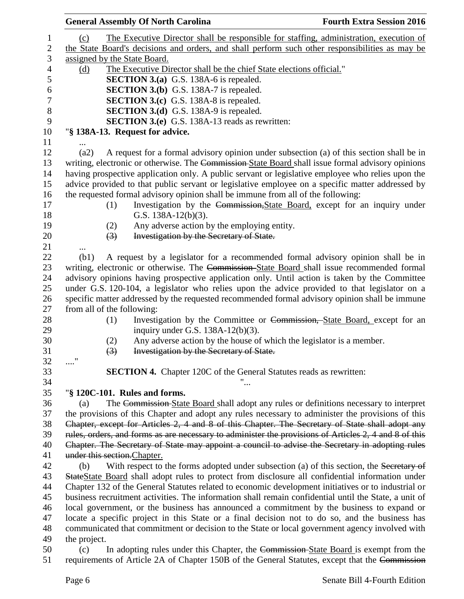|                                 | <b>General Assembly Of North Carolina</b>                                                             | <b>Fourth Extra Session 2016</b> |
|---------------------------------|-------------------------------------------------------------------------------------------------------|----------------------------------|
| (c)                             | The Executive Director shall be responsible for staffing, administration, execution of                |                                  |
|                                 | the State Board's decisions and orders, and shall perform such other responsibilities as may be       |                                  |
| assigned by the State Board.    |                                                                                                       |                                  |
| (d)                             | The Executive Director shall be the chief State elections official."                                  |                                  |
|                                 | <b>SECTION 3.(a)</b> G.S. 138A-6 is repealed.                                                         |                                  |
|                                 | <b>SECTION 3.(b)</b> G.S. 138A-7 is repealed.                                                         |                                  |
|                                 | <b>SECTION 3.(c)</b> G.S. 138A-8 is repealed.                                                         |                                  |
|                                 | <b>SECTION 3.(d)</b> G.S. 138A-9 is repealed.                                                         |                                  |
|                                 | <b>SECTION 3.(e)</b> G.S. 138A-13 reads as rewritten:                                                 |                                  |
| "§ 138A-13. Request for advice. |                                                                                                       |                                  |
|                                 |                                                                                                       |                                  |
| (a2)                            | A request for a formal advisory opinion under subsection (a) of this section shall be in              |                                  |
|                                 | writing, electronic or otherwise. The Commission-State Board shall issue formal advisory opinions     |                                  |
|                                 | having prospective application only. A public servant or legislative employee who relies upon the     |                                  |
|                                 | advice provided to that public servant or legislative employee on a specific matter addressed by      |                                  |
|                                 | the requested formal advisory opinion shall be immune from all of the following:                      |                                  |
| (1)                             | Investigation by the Commission, State Board, except for an inquiry under                             |                                  |
|                                 | G.S. $138A-12(b)(3)$ .                                                                                |                                  |
| (2)                             | Any adverse action by the employing entity.                                                           |                                  |
| $\left(3\right)$                | Investigation by the Secretary of State.                                                              |                                  |
|                                 |                                                                                                       |                                  |
| (b1)                            | A request by a legislator for a recommended formal advisory opinion shall be in                       |                                  |
|                                 | writing, electronic or otherwise. The Commission-State Board shall issue recommended formal           |                                  |
|                                 | advisory opinions having prospective application only. Until action is taken by the Committee         |                                  |
|                                 | under G.S. 120-104, a legislator who relies upon the advice provided to that legislator on a          |                                  |
|                                 | specific matter addressed by the requested recommended formal advisory opinion shall be immune        |                                  |
| from all of the following:      |                                                                                                       |                                  |
| (1)                             | Investigation by the Committee or Commission, State Board, except for an                              |                                  |
|                                 | inquiry under G.S. $138A-12(b)(3)$ .                                                                  |                                  |
| (2)                             | Any adverse action by the house of which the legislator is a member.                                  |                                  |
| $\left(3\right)$                | Investigation by the Secretary of State.                                                              |                                  |
|                                 |                                                                                                       |                                  |
|                                 | <b>SECTION 4.</b> Chapter 120C of the General Statutes reads as rewritten:                            |                                  |
|                                 |                                                                                                       |                                  |
| "§ 120C-101. Rules and forms.   |                                                                                                       |                                  |
| (a)                             | The Commission-State Board shall adopt any rules or definitions necessary to interpret                |                                  |
|                                 | the provisions of this Chapter and adopt any rules necessary to administer the provisions of this     |                                  |
|                                 | Chapter, except for Articles 2, 4 and 8 of this Chapter. The Secretary of State shall adopt any       |                                  |
|                                 | rules, orders, and forms as are necessary to administer the provisions of Articles 2, 4 and 8 of this |                                  |
|                                 | Chapter. The Secretary of State may appoint a council to advise the Secretary in adopting rules       |                                  |
| under this section. Chapter.    |                                                                                                       |                                  |
| (b)                             | With respect to the forms adopted under subsection (a) of this section, the Secretary of              |                                  |
|                                 | StateState Board shall adopt rules to protect from disclosure all confidential information under      |                                  |
|                                 | Chapter 132 of the General Statutes related to economic development initiatives or to industrial or   |                                  |
|                                 | business recruitment activities. The information shall remain confidential until the State, a unit of |                                  |
|                                 | local government, or the business has announced a commitment by the business to expand or             |                                  |
|                                 | locate a specific project in this State or a final decision not to do so, and the business has        |                                  |
|                                 | communicated that commitment or decision to the State or local government agency involved with        |                                  |
| the project.                    |                                                                                                       |                                  |
| (c)                             | In adopting rules under this Chapter, the Commission-State Board is exempt from the                   |                                  |
|                                 | requirements of Article 2A of Chapter 150B of the General Statutes, except that the Commission        |                                  |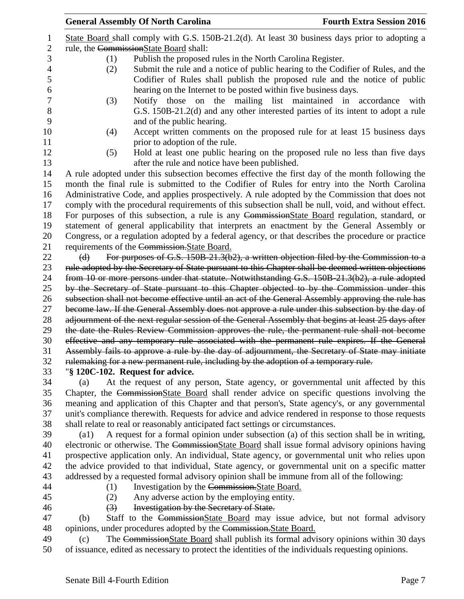|                |                                        | <b>General Assembly Of North Carolina</b>                                                                                                                                                             | <b>Fourth Extra Session 2016</b> |
|----------------|----------------------------------------|-------------------------------------------------------------------------------------------------------------------------------------------------------------------------------------------------------|----------------------------------|
| $\mathbf{1}$   |                                        | State Board shall comply with G.S. 150B-21.2(d). At least 30 business days prior to adopting a                                                                                                        |                                  |
| $\overline{2}$ | rule, the CommissionState Board shall: |                                                                                                                                                                                                       |                                  |
| 3              | (1)                                    | Publish the proposed rules in the North Carolina Register.                                                                                                                                            |                                  |
| 4              | (2)                                    | Submit the rule and a notice of public hearing to the Codifier of Rules, and the                                                                                                                      |                                  |
| 5              |                                        | Codifier of Rules shall publish the proposed rule and the notice of public                                                                                                                            |                                  |
| 6              |                                        | hearing on the Internet to be posted within five business days.                                                                                                                                       |                                  |
| 7              | (3)                                    | Notify those on the mailing list maintained in accordance                                                                                                                                             | with                             |
| 8              |                                        | G.S. 150B-21.2(d) and any other interested parties of its intent to adopt a rule                                                                                                                      |                                  |
| 9              |                                        | and of the public hearing.                                                                                                                                                                            |                                  |
| 10             | (4)                                    | Accept written comments on the proposed rule for at least 15 business days                                                                                                                            |                                  |
| 11             |                                        | prior to adoption of the rule.                                                                                                                                                                        |                                  |
| 12<br>13       | (5)                                    | Hold at least one public hearing on the proposed rule no less than five days<br>after the rule and notice have been published.                                                                        |                                  |
| 14             |                                        |                                                                                                                                                                                                       |                                  |
| 15             |                                        | A rule adopted under this subsection becomes effective the first day of the month following the<br>month the final rule is submitted to the Codifier of Rules for entry into the North Carolina       |                                  |
| 16             |                                        |                                                                                                                                                                                                       |                                  |
| 17             |                                        | Administrative Code, and applies prospectively. A rule adopted by the Commission that does not<br>comply with the procedural requirements of this subsection shall be null, void, and without effect. |                                  |
| 18             |                                        | For purposes of this subsection, a rule is any CommissionState Board regulation, standard, or                                                                                                         |                                  |
| 19             |                                        | statement of general applicability that interprets an enactment by the General Assembly or                                                                                                            |                                  |
| 20             |                                        | Congress, or a regulation adopted by a federal agency, or that describes the procedure or practice                                                                                                    |                                  |
| 21             |                                        | requirements of the Commission. State Board.                                                                                                                                                          |                                  |
| 22             | (d)                                    | For purposes of G.S. 150B-21.3(b2), a written objection filed by the Commission to a                                                                                                                  |                                  |
| 23             |                                        | rule adopted by the Secretary of State pursuant to this Chapter shall be deemed written objections                                                                                                    |                                  |
| 24             |                                        | from 10 or more persons under that statute. Notwithstanding G.S. 150B-21.3(b2), a rule adopted                                                                                                        |                                  |
| 25             |                                        | by the Secretary of State pursuant to this Chapter objected to by the Commission under this                                                                                                           |                                  |
| 26             |                                        | subsection shall not become effective until an act of the General Assembly approving the rule has                                                                                                     |                                  |
| 27             |                                        | become law. If the General Assembly does not approve a rule under this subsection by the day of                                                                                                       |                                  |
| 28             |                                        | adjournment of the next regular session of the General Assembly that begins at least 25 days after                                                                                                    |                                  |
| 29             |                                        | the date the Rules Review Commission approves the rule, the permanent rule shall not become                                                                                                           |                                  |
| 30             |                                        | effective and any temporary rule associated with the permanent rule expires. If the General                                                                                                           |                                  |
| 31             |                                        | Assembly fails to approve a rule by the day of adjournment, the Secretary of State may initiate                                                                                                       |                                  |
| 32             |                                        | rulemaking for a new permanent rule, including by the adoption of a temporary rule.                                                                                                                   |                                  |
| 33             |                                        | "§ 120C-102. Request for advice.                                                                                                                                                                      |                                  |
| 34             | (a)                                    | At the request of any person, State agency, or governmental unit affected by this                                                                                                                     |                                  |
| 35             |                                        | Chapter, the CommissionState Board shall render advice on specific questions involving the                                                                                                            |                                  |

35 Chapter, the CommissionState Board shall render advice on specific questions involving the meaning and application of this Chapter and that person's, State agency's, or any governmental unit's compliance therewith. Requests for advice and advice rendered in response to those requests shall relate to real or reasonably anticipated fact settings or circumstances.

 (a1) A request for a formal opinion under subsection (a) of this section shall be in writing, 40 electronic or otherwise. The CommissionState Board shall issue formal advisory opinions having prospective application only. An individual, State agency, or governmental unit who relies upon the advice provided to that individual, State agency, or governmental unit on a specific matter addressed by a requested formal advisory opinion shall be immune from all of the following:

- 
- (1) Investigation by the Commission.State Board.
	- (2) Any adverse action by the employing entity.
- 

(3) Investigation by the Secretary of State.

 (b) Staff to the CommissionState Board may issue advice, but not formal advisory 48 opinions, under procedures adopted by the Commission. State Board.

49 (c) The Commission State Board shall publish its formal advisory opinions within 30 days of issuance, edited as necessary to protect the identities of the individuals requesting opinions.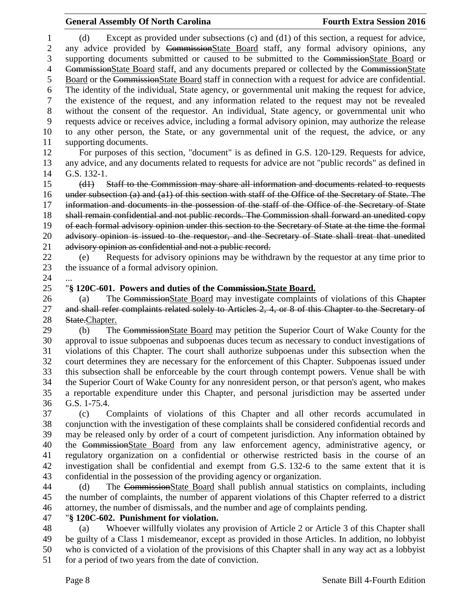(d) Except as provided under subsections (c) and (d1) of this section, a request for advice, any advice provided by CommissionState Board staff, any formal advisory opinions, any 3 supporting documents submitted or caused to be submitted to the CommissionState Board or CommissionState Board staff, and any documents prepared or collected by the CommissionState Board or the CommissionState Board staff in connection with a request for advice are confidential. The identity of the individual, State agency, or governmental unit making the request for advice, the existence of the request, and any information related to the request may not be revealed without the consent of the requestor. An individual, State agency, or governmental unit who requests advice or receives advice, including a formal advisory opinion, may authorize the release to any other person, the State, or any governmental unit of the request, the advice, or any supporting documents. For purposes of this section, "document" is as defined in G.S. 120-129. Requests for advice, any advice, and any documents related to requests for advice are not "public records" as defined in G.S. 132-1. (d1) Staff to the Commission may share all information and documents related to requests under subsection (a) and (a1) of this section with staff of the Office of the Secretary of State. The 17 information and documents in the possession of the staff of the Office of the Secretary of State shall remain confidential and not public records. The Commission shall forward an unedited copy of each formal advisory opinion under this section to the Secretary of State at the time the formal advisory opinion is issued to the requestor, and the Secretary of State shall treat that unedited 21 advisory opinion as confidential and not a public record. (e) Requests for advisory opinions may be withdrawn by the requestor at any time prior to the issuance of a formal advisory opinion. "**§ 120C-601. Powers and duties of the Commission.State Board.** 26 (a) The CommissionState Board may investigate complaints of violations of this Chapter 27 and shall refer complaints related solely to Articles 2, 4, or 8 of this Chapter to the Secretary of 28 State.Chapter. (b) The CommissionState Board may petition the Superior Court of Wake County for the approval to issue subpoenas and subpoenas duces tecum as necessary to conduct investigations of violations of this Chapter. The court shall authorize subpoenas under this subsection when the court determines they are necessary for the enforcement of this Chapter. Subpoenas issued under this subsection shall be enforceable by the court through contempt powers. Venue shall be with the Superior Court of Wake County for any nonresident person, or that person's agent, who makes a reportable expenditure under this Chapter, and personal jurisdiction may be asserted under G.S. 1-75.4. (c) Complaints of violations of this Chapter and all other records accumulated in conjunction with the investigation of these complaints shall be considered confidential records and may be released only by order of a court of competent jurisdiction. Any information obtained by the CommissionState Board from any law enforcement agency, administrative agency, or regulatory organization on a confidential or otherwise restricted basis in the course of an investigation shall be confidential and exempt from G.S. 132-6 to the same extent that it is confidential in the possession of the providing agency or organization. (d) The CommissionState Board shall publish annual statistics on complaints, including the number of complaints, the number of apparent violations of this Chapter referred to a district

attorney, the number of dismissals, and the number and age of complaints pending.

"**§ 120C-602. Punishment for violation.**

 (a) Whoever willfully violates any provision of Article 2 or Article 3 of this Chapter shall be guilty of a Class 1 misdemeanor, except as provided in those Articles. In addition, no lobbyist who is convicted of a violation of the provisions of this Chapter shall in any way act as a lobbyist for a period of two years from the date of conviction.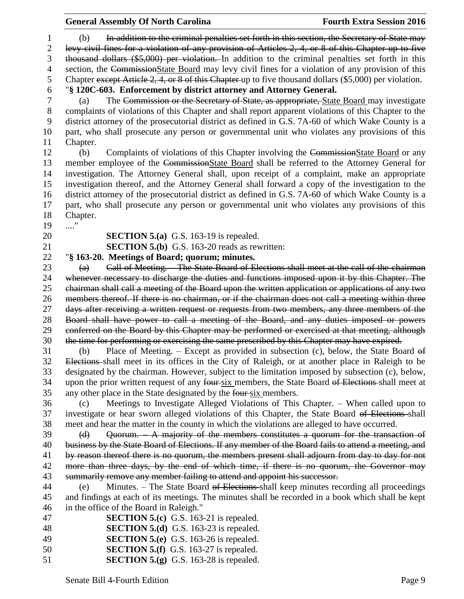(b) In addition to the criminal penalties set forth in this section, the Secretary of State may levy civil fines for a violation of any provision of Articles 2, 4, or 8 of this Chapter up to five thousand dollars (\$5,000) per violation. In addition to the criminal penalties set forth in this 4 section, the CommissionState Board may levy civil fines for a violation of any provision of this Chapter except Article 2, 4, or 8 of this Chapter up to five thousand dollars (\$5,000) per violation. "**§ 120C-603. Enforcement by district attorney and Attorney General.**

 (a) The Commission or the Secretary of State, as appropriate, State Board may investigate complaints of violations of this Chapter and shall report apparent violations of this Chapter to the district attorney of the prosecutorial district as defined in G.S. 7A-60 of which Wake County is a part, who shall prosecute any person or governmental unit who violates any provisions of this Chapter.

 (b) Complaints of violations of this Chapter involving the CommissionState Board or any member employee of the CommissionState Board shall be referred to the Attorney General for investigation. The Attorney General shall, upon receipt of a complaint, make an appropriate investigation thereof, and the Attorney General shall forward a copy of the investigation to the district attorney of the prosecutorial district as defined in G.S. 7A-60 of which Wake County is a part, who shall prosecute any person or governmental unit who violates any provisions of this Chapter.

...."

**SECTION 5.(a)** G.S. 163-19 is repealed.

**SECTION 5.(b)** G.S. 163-20 reads as rewritten:

"**§ 163-20. Meetings of Board; quorum; minutes.**

 (a) Call of Meeting. – The State Board of Elections shall meet at the call of the chairman whenever necessary to discharge the duties and functions imposed upon it by this Chapter. The chairman shall call a meeting of the Board upon the written application or applications of any two members thereof. If there is no chairman, or if the chairman does not call a meeting within three 27 days after receiving a written request or requests from two members, any three members of the Board shall have power to call a meeting of the Board, and any duties imposed or powers conferred on the Board by this Chapter may be performed or exercised at that meeting, although the time for performing or exercising the same prescribed by this Chapter may have expired.

 (b) Place of Meeting. – Except as provided in subsection (c), below, the State Board of Elections shall meet in its offices in the City of Raleigh, or at another place in Raleigh to be designated by the chairman. However, subject to the limitation imposed by subsection (c), below, 34 upon the prior written request of any four-six members, the State Board of Elections-shall meet at any other place in the State designated by the four six members.

 (c) Meetings to Investigate Alleged Violations of This Chapter. – When called upon to investigate or hear sworn alleged violations of this Chapter, the State Board of Elections shall meet and hear the matter in the county in which the violations are alleged to have occurred.

39 (d) Quorum. A majority of the members constitutes a quorum for the transaction of business by the State Board of Elections. If any member of the Board fails to attend a meeting, and by reason thereof there is no quorum, the members present shall adjourn from day to day for not 42 more than three days, by the end of which time, if there is no quorum, the Governor may summarily remove any member failing to attend and appoint his successor.

 (e) Minutes. – The State Board of Elections shall keep minutes recording all proceedings and findings at each of its meetings. The minutes shall be recorded in a book which shall be kept in the office of the Board in Raleigh."

| <b>SECTION 5.(c)</b> G.S. 163-21 is repealed.<br>47 |  |
|-----------------------------------------------------|--|
|-----------------------------------------------------|--|

- **SECTION 5.(d)** G.S. 163-23 is repealed.
- **SECTION 5.(e)** G.S. 163-26 is repealed.
- **SECTION 5.(f)** G.S. 163-27 is repealed. **SECTION 5.(g)** G.S. 163-28 is repealed.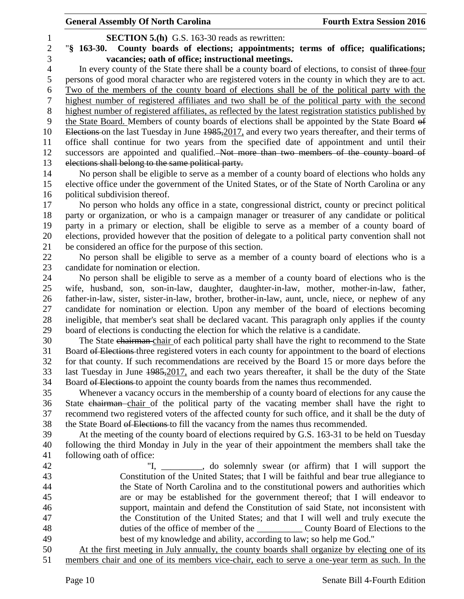**SECTION 5.(h)** G.S. 163-30 reads as rewritten:

 "**§ 163-30. County boards of elections; appointments; terms of office; qualifications; vacancies; oath of office; instructional meetings.**

4 In every county of the State there shall be a county board of elections, to consist of three-four persons of good moral character who are registered voters in the county in which they are to act. Two of the members of the county board of elections shall be of the political party with the highest number of registered affiliates and two shall be of the political party with the second highest number of registered affiliates, as reflected by the latest registration statistics published by the State Board. Members of county boards of elections shall be appointed by the State Board of 10 Elections on the last Tuesday in June 1985, 2017, and every two years thereafter, and their terms of office shall continue for two years from the specified date of appointment and until their successors are appointed and qualified. Not more than two members of the county board of elections shall belong to the same political party.

 No person shall be eligible to serve as a member of a county board of elections who holds any elective office under the government of the United States, or of the State of North Carolina or any political subdivision thereof.

 No person who holds any office in a state, congressional district, county or precinct political party or organization, or who is a campaign manager or treasurer of any candidate or political party in a primary or election, shall be eligible to serve as a member of a county board of elections, provided however that the position of delegate to a political party convention shall not be considered an office for the purpose of this section.

 No person shall be eligible to serve as a member of a county board of elections who is a candidate for nomination or election.

 No person shall be eligible to serve as a member of a county board of elections who is the wife, husband, son, son-in-law, daughter, daughter-in-law, mother, mother-in-law, father, father-in-law, sister, sister-in-law, brother, brother-in-law, aunt, uncle, niece, or nephew of any candidate for nomination or election. Upon any member of the board of elections becoming ineligible, that member's seat shall be declared vacant. This paragraph only applies if the county board of elections is conducting the election for which the relative is a candidate.

 The State chairman chair of each political party shall have the right to recommend to the State Board of Elections three registered voters in each county for appointment to the board of elections for that county. If such recommendations are received by the Board 15 or more days before the last Tuesday in June 1985,2017, and each two years thereafter, it shall be the duty of the State 34 Board of Elections to appoint the county boards from the names thus recommended.

 Whenever a vacancy occurs in the membership of a county board of elections for any cause the State chairman chair of the political party of the vacating member shall have the right to recommend two registered voters of the affected county for such office, and it shall be the duty of the State Board of Elections to fill the vacancy from the names thus recommended.

 At the meeting of the county board of elections required by G.S. 163-31 to be held on Tuesday following the third Monday in July in the year of their appointment the members shall take the following oath of office:

42 "I, solemnly swear (or affirm) that I will support the Constitution of the United States; that I will be faithful and bear true allegiance to the State of North Carolina and to the constitutional powers and authorities which are or may be established for the government thereof; that I will endeavor to support, maintain and defend the Constitution of said State, not inconsistent with the Constitution of the United States; and that I will well and truly execute the 48 duties of the office of member of the County Board of Elections to the best of my knowledge and ability, according to law; so help me God."

 At the first meeting in July annually, the county boards shall organize by electing one of its members chair and one of its members vice-chair, each to serve a one-year term as such. In the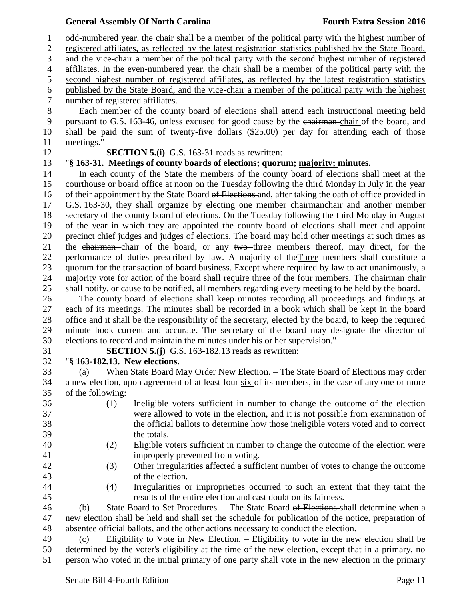odd-numbered year, the chair shall be a member of the political party with the highest number of registered affiliates, as reflected by the latest registration statistics published by the State Board, and the vice-chair a member of the political party with the second highest number of registered affiliates. In the even-numbered year, the chair shall be a member of the political party with the second highest number of registered affiliates, as reflected by the latest registration statistics published by the State Board, and the vice-chair a member of the political party with the highest number of registered affiliates. Each member of the county board of elections shall attend each instructional meeting held pursuant to G.S. 163-46, unless excused for good cause by the chairman chair of the board, and shall be paid the sum of twenty-five dollars (\$25.00) per day for attending each of those meetings." **SECTION 5.(i)** G.S. 163-31 reads as rewritten: "**§ 163-31. Meetings of county boards of elections; quorum; majority; minutes.** In each county of the State the members of the county board of elections shall meet at the courthouse or board office at noon on the Tuesday following the third Monday in July in the year of their appointment by the State Board of Elections and, after taking the oath of office provided in 17 G.S. 163-30, they shall organize by electing one member chairmanchair and another member secretary of the county board of elections. On the Tuesday following the third Monday in August of the year in which they are appointed the county board of elections shall meet and appoint precinct chief judges and judges of elections. The board may hold other meetings at such times as 21 the chairman chair of the board, or any two three members thereof, may direct, for the 22 performance of duties prescribed by law. A majority of the Three members shall constitute a quorum for the transaction of board business. Except where required by law to act unanimously, a 24 majority vote for action of the board shall require three of the four members. The chairman-chair shall notify, or cause to be notified, all members regarding every meeting to be held by the board. The county board of elections shall keep minutes recording all proceedings and findings at each of its meetings. The minutes shall be recorded in a book which shall be kept in the board office and it shall be the responsibility of the secretary, elected by the board, to keep the required minute book current and accurate. The secretary of the board may designate the director of elections to record and maintain the minutes under his or her supervision." **SECTION 5.(j)** G.S. 163-182.13 reads as rewritten: "**§ 163-182.13. New elections.** 33 (a) When State Board May Order New Election. – The State Board of Elections may order 34 a new election, upon agreement of at least four-six of its members, in the case of any one or more of the following: (1) Ineligible voters sufficient in number to change the outcome of the election were allowed to vote in the election, and it is not possible from examination of the official ballots to determine how those ineligible voters voted and to correct the totals. (2) Eligible voters sufficient in number to change the outcome of the election were improperly prevented from voting. (3) Other irregularities affected a sufficient number of votes to change the outcome of the election. (4) Irregularities or improprieties occurred to such an extent that they taint the

results of the entire election and cast doubt on its fairness.

 (b) State Board to Set Procedures. – The State Board of Elections shall determine when a new election shall be held and shall set the schedule for publication of the notice, preparation of absentee official ballots, and the other actions necessary to conduct the election.

 (c) Eligibility to Vote in New Election. – Eligibility to vote in the new election shall be determined by the voter's eligibility at the time of the new election, except that in a primary, no person who voted in the initial primary of one party shall vote in the new election in the primary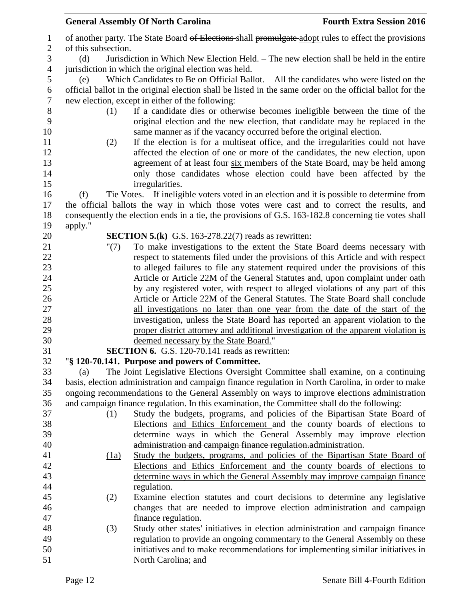|                  |                     | <b>General Assembly Of North Carolina</b>                                                                                   | <b>Fourth Extra Session 2016</b> |
|------------------|---------------------|-----------------------------------------------------------------------------------------------------------------------------|----------------------------------|
| $\mathbf{1}$     |                     | of another party. The State Board of Elections shall promulgate adopt rules to effect the provisions                        |                                  |
| $\boldsymbol{2}$ | of this subsection. |                                                                                                                             |                                  |
| 3                | (d)                 | Jurisdiction in Which New Election Held. - The new election shall be held in the entire                                     |                                  |
| $\overline{4}$   |                     | jurisdiction in which the original election was held.                                                                       |                                  |
| 5                | (e)                 | Which Candidates to Be on Official Ballot. - All the candidates who were listed on the                                      |                                  |
| 6                |                     | official ballot in the original election shall be listed in the same order on the official ballot for the                   |                                  |
| $\tau$           |                     | new election, except in either of the following:                                                                            |                                  |
| 8                | (1)                 | If a candidate dies or otherwise becomes ineligible between the time of the                                                 |                                  |
| 9                |                     | original election and the new election, that candidate may be replaced in the                                               |                                  |
| 10               |                     | same manner as if the vacancy occurred before the original election.                                                        |                                  |
| 11               | (2)                 | If the election is for a multiseat office, and the irregularities could not have                                            |                                  |
| 12               |                     | affected the election of one or more of the candidates, the new election, upon                                              |                                  |
| 13               |                     | agreement of at least four-six members of the State Board, may be held among                                                |                                  |
| 14               |                     | only those candidates whose election could have been affected by the                                                        |                                  |
| 15               |                     | irregularities.                                                                                                             |                                  |
| 16               | (f)                 | Tie Votes. – If ineligible voters voted in an election and it is possible to determine from                                 |                                  |
| 17               |                     | the official ballots the way in which those votes were cast and to correct the results, and                                 |                                  |
| 18               |                     | consequently the election ends in a tie, the provisions of G.S. 163-182.8 concerning tie votes shall                        |                                  |
| 19               | apply."             |                                                                                                                             |                                  |
| 20               |                     | <b>SECTION 5.(k)</b> G.S. 163-278.22(7) reads as rewritten:                                                                 |                                  |
| 21               | "(7)                | To make investigations to the extent the State Board deems necessary with                                                   |                                  |
| 22               |                     | respect to statements filed under the provisions of this Article and with respect                                           |                                  |
| 23               |                     | to alleged failures to file any statement required under the provisions of this                                             |                                  |
| 24               |                     | Article or Article 22M of the General Statutes and, upon complaint under oath                                               |                                  |
| 25               |                     | by any registered voter, with respect to alleged violations of any part of this                                             |                                  |
| 26               |                     | Article or Article 22M of the General Statutes. The State Board shall conclude                                              |                                  |
| 27               |                     | all investigations no later than one year from the date of the start of the                                                 |                                  |
| 28               |                     | investigation, unless the State Board has reported an apparent violation to the                                             |                                  |
| 29<br>30         |                     | proper district attorney and additional investigation of the apparent violation is<br>deemed necessary by the State Board." |                                  |
| 31               |                     | <b>SECTION 6.</b> G.S. 120-70.141 reads as rewritten:                                                                       |                                  |
| 32               |                     | "§ 120-70.141. Purpose and powers of Committee.                                                                             |                                  |
| 33               | (a)                 | The Joint Legislative Elections Oversight Committee shall examine, on a continuing                                          |                                  |
| 34               |                     | basis, election administration and campaign finance regulation in North Carolina, in order to make                          |                                  |
| 35               |                     | ongoing recommendations to the General Assembly on ways to improve elections administration                                 |                                  |
| 36               |                     | and campaign finance regulation. In this examination, the Committee shall do the following:                                 |                                  |
| 37               | (1)                 | Study the budgets, programs, and policies of the Bipartisan State Board of                                                  |                                  |
| 38               |                     | Elections and Ethics Enforcement and the county boards of elections to                                                      |                                  |
| 39               |                     | determine ways in which the General Assembly may improve election                                                           |                                  |
| 40               |                     | administration and campaign finance regulation administration.                                                              |                                  |
| 41               | (1a)                | Study the budgets, programs, and policies of the Bipartisan State Board of                                                  |                                  |
| 42               |                     | Elections and Ethics Enforcement and the county boards of elections to                                                      |                                  |
| 43               |                     | determine ways in which the General Assembly may improve campaign finance                                                   |                                  |
| 44               |                     | regulation.                                                                                                                 |                                  |
| 45               | (2)                 | Examine election statutes and court decisions to determine any legislative                                                  |                                  |
| 46               |                     | changes that are needed to improve election administration and campaign                                                     |                                  |
| 47               |                     | finance regulation.                                                                                                         |                                  |
| 48               | (3)                 | Study other states' initiatives in election administration and campaign finance                                             |                                  |
| 49               |                     | regulation to provide an ongoing commentary to the General Assembly on these                                                |                                  |
| 50               |                     | initiatives and to make recommendations for implementing similar initiatives in                                             |                                  |
| 51               |                     | North Carolina; and                                                                                                         |                                  |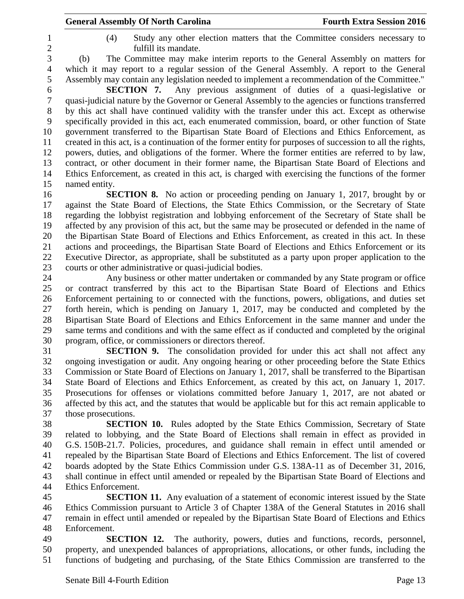- 
- (4) Study any other election matters that the Committee considers necessary to fulfill its mandate.

 (b) The Committee may make interim reports to the General Assembly on matters for which it may report to a regular session of the General Assembly. A report to the General Assembly may contain any legislation needed to implement a recommendation of the Committee."

 **SECTION 7.** Any previous assignment of duties of a quasi-legislative or quasi-judicial nature by the Governor or General Assembly to the agencies or functions transferred by this act shall have continued validity with the transfer under this act. Except as otherwise specifically provided in this act, each enumerated commission, board, or other function of State government transferred to the Bipartisan State Board of Elections and Ethics Enforcement, as created in this act, is a continuation of the former entity for purposes of succession to all the rights, powers, duties, and obligations of the former. Where the former entities are referred to by law, contract, or other document in their former name, the Bipartisan State Board of Elections and Ethics Enforcement, as created in this act, is charged with exercising the functions of the former named entity.

 **SECTION 8.** No action or proceeding pending on January 1, 2017, brought by or against the State Board of Elections, the State Ethics Commission, or the Secretary of State regarding the lobbyist registration and lobbying enforcement of the Secretary of State shall be affected by any provision of this act, but the same may be prosecuted or defended in the name of the Bipartisan State Board of Elections and Ethics Enforcement, as created in this act. In these actions and proceedings, the Bipartisan State Board of Elections and Ethics Enforcement or its Executive Director, as appropriate, shall be substituted as a party upon proper application to the courts or other administrative or quasi-judicial bodies.

 Any business or other matter undertaken or commanded by any State program or office or contract transferred by this act to the Bipartisan State Board of Elections and Ethics Enforcement pertaining to or connected with the functions, powers, obligations, and duties set forth herein, which is pending on January 1, 2017, may be conducted and completed by the Bipartisan State Board of Elections and Ethics Enforcement in the same manner and under the same terms and conditions and with the same effect as if conducted and completed by the original program, office, or commissioners or directors thereof.

 **SECTION 9.** The consolidation provided for under this act shall not affect any ongoing investigation or audit. Any ongoing hearing or other proceeding before the State Ethics Commission or State Board of Elections on January 1, 2017, shall be transferred to the Bipartisan State Board of Elections and Ethics Enforcement, as created by this act, on January 1, 2017. Prosecutions for offenses or violations committed before January 1, 2017, are not abated or affected by this act, and the statutes that would be applicable but for this act remain applicable to those prosecutions.

 **SECTION 10.** Rules adopted by the State Ethics Commission, Secretary of State related to lobbying, and the State Board of Elections shall remain in effect as provided in G.S. 150B-21.7. Policies, procedures, and guidance shall remain in effect until amended or repealed by the Bipartisan State Board of Elections and Ethics Enforcement. The list of covered boards adopted by the State Ethics Commission under G.S. 138A-11 as of December 31, 2016, shall continue in effect until amended or repealed by the Bipartisan State Board of Elections and Ethics Enforcement.

 **SECTION 11.** Any evaluation of a statement of economic interest issued by the State Ethics Commission pursuant to Article 3 of Chapter 138A of the General Statutes in 2016 shall remain in effect until amended or repealed by the Bipartisan State Board of Elections and Ethics Enforcement.

 **SECTION 12.** The authority, powers, duties and functions, records, personnel, property, and unexpended balances of appropriations, allocations, or other funds, including the functions of budgeting and purchasing, of the State Ethics Commission are transferred to the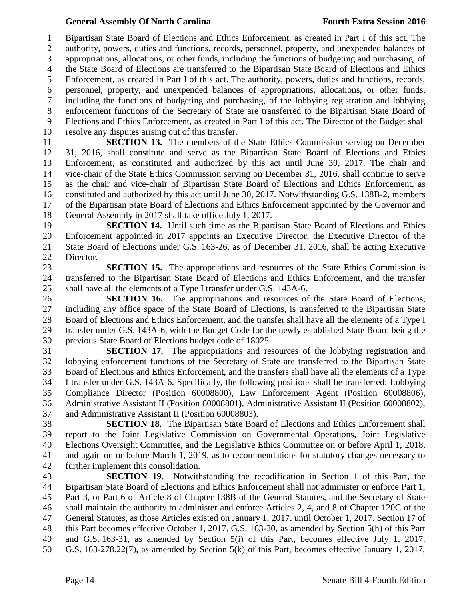Bipartisan State Board of Elections and Ethics Enforcement, as created in Part I of this act. The authority, powers, duties and functions, records, personnel, property, and unexpended balances of appropriations, allocations, or other funds, including the functions of budgeting and purchasing, of the State Board of Elections are transferred to the Bipartisan State Board of Elections and Ethics Enforcement, as created in Part I of this act. The authority, powers, duties and functions, records, personnel, property, and unexpended balances of appropriations, allocations, or other funds, including the functions of budgeting and purchasing, of the lobbying registration and lobbying enforcement functions of the Secretary of State are transferred to the Bipartisan State Board of Elections and Ethics Enforcement, as created in Part I of this act. The Director of the Budget shall resolve any disputes arising out of this transfer.

 **SECTION 13.** The members of the State Ethics Commission serving on December 31, 2016, shall constitute and serve as the Bipartisan State Board of Elections and Ethics Enforcement, as constituted and authorized by this act until June 30, 2017. The chair and vice-chair of the State Ethics Commission serving on December 31, 2016, shall continue to serve as the chair and vice-chair of Bipartisan State Board of Elections and Ethics Enforcement, as constituted and authorized by this act until June 30, 2017. Notwithstanding G.S. 138B-2, members of the Bipartisan State Board of Elections and Ethics Enforcement appointed by the Governor and General Assembly in 2017 shall take office July 1, 2017.

**SECTION 14.** Until such time as the Bipartisan State Board of Elections and Ethics Enforcement appointed in 2017 appoints an Executive Director, the Executive Director of the State Board of Elections under G.S. 163-26, as of December 31, 2016, shall be acting Executive Director.

 **SECTION 15.** The appropriations and resources of the State Ethics Commission is transferred to the Bipartisan State Board of Elections and Ethics Enforcement, and the transfer shall have all the elements of a Type I transfer under G.S. 143A-6.

 **SECTION 16.** The appropriations and resources of the State Board of Elections, including any office space of the State Board of Elections, is transferred to the Bipartisan State Board of Elections and Ethics Enforcement, and the transfer shall have all the elements of a Type I transfer under G.S. 143A-6, with the Budget Code for the newly established State Board being the previous State Board of Elections budget code of 18025.

 **SECTION 17.** The appropriations and resources of the lobbying registration and lobbying enforcement functions of the Secretary of State are transferred to the Bipartisan State Board of Elections and Ethics Enforcement, and the transfers shall have all the elements of a Type I transfer under G.S. 143A-6. Specifically, the following positions shall be transferred: Lobbying Compliance Director (Position 60008800), Law Enforcement Agent (Position 60008806), Administrative Assistant II (Position 60008801), Administrative Assistant II (Position 60008802), and Administrative Assistant II (Position 60008803).

 **SECTION 18.** The Bipartisan State Board of Elections and Ethics Enforcement shall report to the Joint Legislative Commission on Governmental Operations, Joint Legislative Elections Oversight Committee, and the Legislative Ethics Committee on or before April 1, 2018, and again on or before March 1, 2019, as to recommendations for statutory changes necessary to further implement this consolidation.

 **SECTION 19.** Notwithstanding the recodification in Section 1 of this Part, the Bipartisan State Board of Elections and Ethics Enforcement shall not administer or enforce Part 1, Part 3, or Part 6 of Article 8 of Chapter 138B of the General Statutes, and the Secretary of State shall maintain the authority to administer and enforce Articles 2, 4, and 8 of Chapter 120C of the General Statutes, as those Articles existed on January 1, 2017, until October 1, 2017. Section 17 of this Part becomes effective October 1, 2017. G.S. 163-30, as amended by Section 5(h) of this Part and G.S. 163-31, as amended by Section 5(i) of this Part, becomes effective July 1, 2017. G.S. 163-278.22(7), as amended by Section 5(k) of this Part, becomes effective January 1, 2017,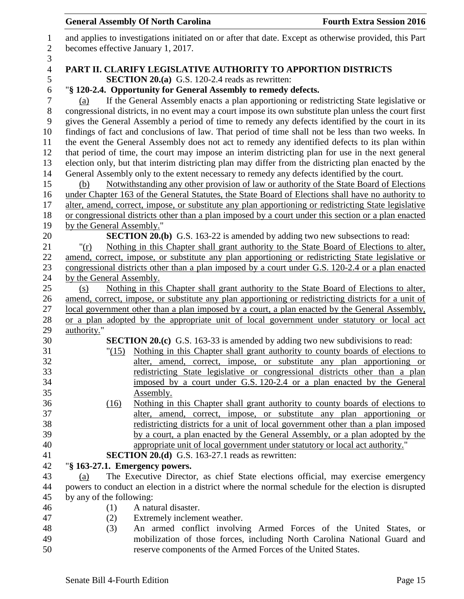|                     |                                                                                                                         | <b>General Assembly Of North Carolina</b>                                                                                                                                                            | <b>Fourth Extra Session 2016</b> |
|---------------------|-------------------------------------------------------------------------------------------------------------------------|------------------------------------------------------------------------------------------------------------------------------------------------------------------------------------------------------|----------------------------------|
| 1<br>$\sqrt{2}$     |                                                                                                                         | and applies to investigations initiated on or after that date. Except as otherwise provided, this Part                                                                                               |                                  |
| 3                   | becomes effective January 1, 2017.                                                                                      |                                                                                                                                                                                                      |                                  |
| $\overline{4}$<br>5 | PART II. CLARIFY LEGISLATIVE AUTHORITY TO APPORTION DISTRICTS<br><b>SECTION 20.(a)</b> G.S. 120-2.4 reads as rewritten: |                                                                                                                                                                                                      |                                  |
| 6<br>7              | (a)                                                                                                                     | "§ 120-2.4. Opportunity for General Assembly to remedy defects.<br>If the General Assembly enacts a plan apportioning or redistricting State legislative or                                          |                                  |
| 8                   |                                                                                                                         | congressional districts, in no event may a court impose its own substitute plan unless the court first                                                                                               |                                  |
| 9                   |                                                                                                                         | gives the General Assembly a period of time to remedy any defects identified by the court in its                                                                                                     |                                  |
| 10<br>11            |                                                                                                                         | findings of fact and conclusions of law. That period of time shall not be less than two weeks. In<br>the event the General Assembly does not act to remedy any identified defects to its plan within |                                  |
| 12                  |                                                                                                                         | that period of time, the court may impose an interim districting plan for use in the next general                                                                                                    |                                  |
| 13                  |                                                                                                                         | election only, but that interim districting plan may differ from the districting plan enacted by the                                                                                                 |                                  |
| 14                  |                                                                                                                         | General Assembly only to the extent necessary to remedy any defects identified by the court.                                                                                                         |                                  |
| 15                  | (b)                                                                                                                     | Notwithstanding any other provision of law or authority of the State Board of Elections                                                                                                              |                                  |
| 16                  |                                                                                                                         | under Chapter 163 of the General Statutes, the State Board of Elections shall have no authority to                                                                                                   |                                  |
| 17                  |                                                                                                                         | alter, amend, correct, impose, or substitute any plan apportioning or redistricting State legislative                                                                                                |                                  |
| 18                  |                                                                                                                         | or congressional districts other than a plan imposed by a court under this section or a plan enacted                                                                                                 |                                  |
| 19                  | by the General Assembly."                                                                                               |                                                                                                                                                                                                      |                                  |
| 20                  |                                                                                                                         | <b>SECTION 20.(b)</b> G.S. 163-22 is amended by adding two new subsections to read:                                                                                                                  |                                  |
| 21                  | " $(\underline{r})$                                                                                                     | Nothing in this Chapter shall grant authority to the State Board of Elections to alter,                                                                                                              |                                  |
| 22                  |                                                                                                                         | amend, correct, impose, or substitute any plan apportioning or redistricting State legislative or                                                                                                    |                                  |
| 23                  |                                                                                                                         | congressional districts other than a plan imposed by a court under G.S. 120-2.4 or a plan enacted                                                                                                    |                                  |
| 24                  | by the General Assembly.                                                                                                |                                                                                                                                                                                                      |                                  |
| 25                  | (s)                                                                                                                     | Nothing in this Chapter shall grant authority to the State Board of Elections to alter,                                                                                                              |                                  |
| 26                  |                                                                                                                         | amend, correct, impose, or substitute any plan apportioning or redistricting districts for a unit of                                                                                                 |                                  |
| 27                  |                                                                                                                         | local government other than a plan imposed by a court, a plan enacted by the General Assembly,                                                                                                       |                                  |
| 28                  |                                                                                                                         | or a plan adopted by the appropriate unit of local government under statutory or local act                                                                                                           |                                  |
| 29<br>30            | authority."                                                                                                             | <b>SECTION 20.(c)</b> G.S. 163-33 is amended by adding two new subdivisions to read:                                                                                                                 |                                  |
| 31                  |                                                                                                                         | "(15) Nothing in this Chapter shall grant authority to county boards of elections to                                                                                                                 |                                  |
| 32                  |                                                                                                                         | alter, amend, correct, impose, or substitute any plan apportioning or                                                                                                                                |                                  |
| 33                  |                                                                                                                         | redistricting State legislative or congressional districts other than a plan                                                                                                                         |                                  |
| 34                  |                                                                                                                         | imposed by a court under G.S. 120-2.4 or a plan enacted by the General                                                                                                                               |                                  |
| 35                  |                                                                                                                         | Assembly.                                                                                                                                                                                            |                                  |
| 36                  | (16)                                                                                                                    | Nothing in this Chapter shall grant authority to county boards of elections to                                                                                                                       |                                  |
| 37                  |                                                                                                                         | alter, amend, correct, impose, or substitute any plan apportioning or                                                                                                                                |                                  |
| 38                  |                                                                                                                         | redistricting districts for a unit of local government other than a plan imposed                                                                                                                     |                                  |
| 39                  |                                                                                                                         | by a court, a plan enacted by the General Assembly, or a plan adopted by the                                                                                                                         |                                  |
| 40                  |                                                                                                                         | appropriate unit of local government under statutory or local act authority."                                                                                                                        |                                  |
| 41                  |                                                                                                                         | <b>SECTION 20.(d)</b> G.S. 163-27.1 reads as rewritten:                                                                                                                                              |                                  |
| 42                  | "§ 163-27.1. Emergency powers.                                                                                          |                                                                                                                                                                                                      |                                  |
| 43                  | (a)                                                                                                                     | The Executive Director, as chief State elections official, may exercise emergency                                                                                                                    |                                  |
| 44                  |                                                                                                                         | powers to conduct an election in a district where the normal schedule for the election is disrupted                                                                                                  |                                  |
| 45                  | by any of the following:                                                                                                |                                                                                                                                                                                                      |                                  |
| 46                  | (1)                                                                                                                     | A natural disaster.                                                                                                                                                                                  |                                  |
| 47                  | (2)                                                                                                                     | Extremely inclement weather.                                                                                                                                                                         |                                  |
| 48                  | (3)                                                                                                                     | An armed conflict involving Armed Forces of the United States, or                                                                                                                                    |                                  |
| 49                  |                                                                                                                         | mobilization of those forces, including North Carolina National Guard and                                                                                                                            |                                  |
| 50                  |                                                                                                                         | reserve components of the Armed Forces of the United States.                                                                                                                                         |                                  |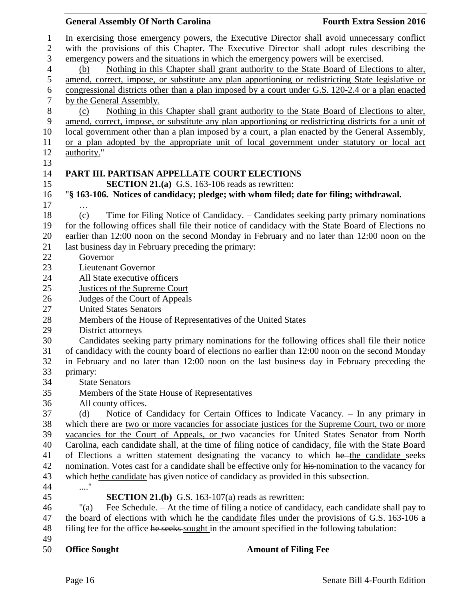|                  | <b>General Assembly Of North Carolina</b>                                                                                                                                            |                                                                                                | <b>Fourth Extra Session 2016</b>                                                                     |  |
|------------------|--------------------------------------------------------------------------------------------------------------------------------------------------------------------------------------|------------------------------------------------------------------------------------------------|------------------------------------------------------------------------------------------------------|--|
| $\mathbf{1}$     |                                                                                                                                                                                      |                                                                                                | In exercising those emergency powers, the Executive Director shall avoid unnecessary conflict        |  |
| $\mathbf{2}$     |                                                                                                                                                                                      |                                                                                                |                                                                                                      |  |
| 3                | with the provisions of this Chapter. The Executive Director shall adopt rules describing the<br>emergency powers and the situations in which the emergency powers will be exercised. |                                                                                                |                                                                                                      |  |
| $\overline{4}$   | (b)                                                                                                                                                                                  | Nothing in this Chapter shall grant authority to the State Board of Elections to alter,        |                                                                                                      |  |
| 5                |                                                                                                                                                                                      |                                                                                                | amend, correct, impose, or substitute any plan apportioning or redistricting State legislative or    |  |
| 6                |                                                                                                                                                                                      |                                                                                                | congressional districts other than a plan imposed by a court under G.S. 120-2.4 or a plan enacted    |  |
| $\boldsymbol{7}$ | by the General Assembly.                                                                                                                                                             |                                                                                                |                                                                                                      |  |
| $8\,$            | (c)                                                                                                                                                                                  |                                                                                                | Nothing in this Chapter shall grant authority to the State Board of Elections to alter,              |  |
| $\mathbf{9}$     |                                                                                                                                                                                      |                                                                                                | amend, correct, impose, or substitute any plan apportioning or redistricting districts for a unit of |  |
| 10               |                                                                                                                                                                                      |                                                                                                | local government other than a plan imposed by a court, a plan enacted by the General Assembly,       |  |
| 11               |                                                                                                                                                                                      |                                                                                                | or a plan adopted by the appropriate unit of local government under statutory or local act           |  |
| 12               | authority."                                                                                                                                                                          |                                                                                                |                                                                                                      |  |
| 13               |                                                                                                                                                                                      |                                                                                                |                                                                                                      |  |
| 14               |                                                                                                                                                                                      | PART III. PARTISAN APPELLATE COURT ELECTIONS                                                   |                                                                                                      |  |
| 15               |                                                                                                                                                                                      | <b>SECTION 21.(a)</b> G.S. 163-106 reads as rewritten:                                         |                                                                                                      |  |
| 16               |                                                                                                                                                                                      | "§ 163-106. Notices of candidacy; pledge; with whom filed; date for filing; withdrawal.        |                                                                                                      |  |
| 17               | $\cdots$                                                                                                                                                                             |                                                                                                |                                                                                                      |  |
| 18               | (c)                                                                                                                                                                                  |                                                                                                | Time for Filing Notice of Candidacy. - Candidates seeking party primary nominations                  |  |
| 19               |                                                                                                                                                                                      |                                                                                                | for the following offices shall file their notice of candidacy with the State Board of Elections no  |  |
| 20               |                                                                                                                                                                                      |                                                                                                | earlier than 12:00 noon on the second Monday in February and no later than 12:00 noon on the         |  |
| 21               |                                                                                                                                                                                      | last business day in February preceding the primary:                                           |                                                                                                      |  |
| 22               | Governor                                                                                                                                                                             |                                                                                                |                                                                                                      |  |
| 23               | <b>Lieutenant Governor</b>                                                                                                                                                           |                                                                                                |                                                                                                      |  |
| 24               | All State executive officers                                                                                                                                                         |                                                                                                |                                                                                                      |  |
| 25               | <b>Justices of the Supreme Court</b>                                                                                                                                                 |                                                                                                |                                                                                                      |  |
| 26               | Judges of the Court of Appeals                                                                                                                                                       |                                                                                                |                                                                                                      |  |
| 27               | <b>United States Senators</b>                                                                                                                                                        |                                                                                                |                                                                                                      |  |
| 28               |                                                                                                                                                                                      | Members of the House of Representatives of the United States                                   |                                                                                                      |  |
| 29               | District attorneys                                                                                                                                                                   |                                                                                                |                                                                                                      |  |
| 30               |                                                                                                                                                                                      |                                                                                                | Candidates seeking party primary nominations for the following offices shall file their notice       |  |
| 31               |                                                                                                                                                                                      |                                                                                                | of candidacy with the county board of elections no earlier than 12:00 noon on the second Monday      |  |
| 32               |                                                                                                                                                                                      |                                                                                                | in February and no later than 12:00 noon on the last business day in February preceding the          |  |
| 33               | primary:                                                                                                                                                                             |                                                                                                |                                                                                                      |  |
| 34               | <b>State Senators</b>                                                                                                                                                                |                                                                                                |                                                                                                      |  |
| 35               |                                                                                                                                                                                      | Members of the State House of Representatives                                                  |                                                                                                      |  |
| 36               | All county offices.                                                                                                                                                                  |                                                                                                |                                                                                                      |  |
| 37               | (d)                                                                                                                                                                                  |                                                                                                | Notice of Candidacy for Certain Offices to Indicate Vacancy. - In any primary in                     |  |
| 38               |                                                                                                                                                                                      |                                                                                                | which there are two or more vacancies for associate justices for the Supreme Court, two or more      |  |
| 39               |                                                                                                                                                                                      |                                                                                                | vacancies for the Court of Appeals, or two vacancies for United States Senator from North            |  |
| 40               |                                                                                                                                                                                      |                                                                                                | Carolina, each candidate shall, at the time of filing notice of candidacy, file with the State Board |  |
| 41               |                                                                                                                                                                                      |                                                                                                | of Elections a written statement designating the vacancy to which he the candidate seeks             |  |
| 42               |                                                                                                                                                                                      |                                                                                                | nomination. Votes cast for a candidate shall be effective only for his-nomination to the vacancy for |  |
| 43               |                                                                                                                                                                                      | which hethe candidate has given notice of candidacy as provided in this subsection.            |                                                                                                      |  |
| 44               | $\ldots\overset{n}{\cdot}$                                                                                                                                                           |                                                                                                |                                                                                                      |  |
| 45               |                                                                                                                                                                                      | <b>SECTION 21.(b)</b> G.S. 163-107(a) reads as rewritten:                                      |                                                                                                      |  |
| 46               | "(a)                                                                                                                                                                                 |                                                                                                | Fee Schedule. - At the time of filing a notice of candidacy, each candidate shall pay to             |  |
| 47               |                                                                                                                                                                                      |                                                                                                | the board of elections with which he the candidate files under the provisions of G.S. 163-106 a      |  |
| 48               |                                                                                                                                                                                      | filing fee for the office he seeks sought in the amount specified in the following tabulation: |                                                                                                      |  |
| 49               |                                                                                                                                                                                      |                                                                                                |                                                                                                      |  |
| 50               | <b>Office Sought</b>                                                                                                                                                                 | <b>Amount of Filing Fee</b>                                                                    |                                                                                                      |  |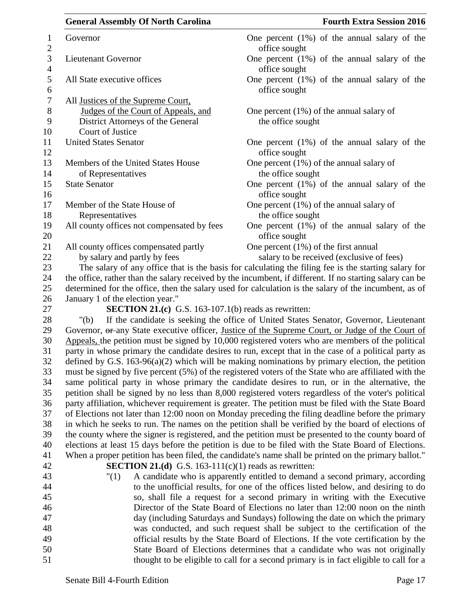|                                | <b>General Assembly Of North Carolina</b>                    | <b>Fourth Extra Session 2016</b>                                                                                                                                                                             |
|--------------------------------|--------------------------------------------------------------|--------------------------------------------------------------------------------------------------------------------------------------------------------------------------------------------------------------|
| $\mathbf{1}$<br>$\overline{2}$ | Governor                                                     | One percent $(1\%)$ of the annual salary of the<br>office sought                                                                                                                                             |
| 3<br>$\overline{4}$            | Lieutenant Governor                                          | One percent $(1\%)$ of the annual salary of the<br>office sought                                                                                                                                             |
| 5<br>6                         | All State executive offices                                  | One percent $(1%)$ of the annual salary of the<br>office sought                                                                                                                                              |
| $\tau$                         | All Justices of the Supreme Court,                           |                                                                                                                                                                                                              |
| 8                              | Judges of the Court of Appeals, and                          | One percent $(1\%)$ of the annual salary of                                                                                                                                                                  |
| 9                              | District Attorneys of the General                            | the office sought                                                                                                                                                                                            |
| 10                             | Court of Justice                                             |                                                                                                                                                                                                              |
| 11<br>12                       | <b>United States Senator</b>                                 | One percent $(1\%)$ of the annual salary of the<br>office sought                                                                                                                                             |
| 13                             | Members of the United States House                           | One percent $(1%)$ of the annual salary of                                                                                                                                                                   |
| 14                             | of Representatives                                           | the office sought                                                                                                                                                                                            |
| 15                             | <b>State Senator</b>                                         | One percent $(1\%)$ of the annual salary of the                                                                                                                                                              |
| 16                             |                                                              | office sought                                                                                                                                                                                                |
| 17                             | Member of the State House of                                 | One percent $(1\%)$ of the annual salary of                                                                                                                                                                  |
| 18                             | Representatives                                              | the office sought                                                                                                                                                                                            |
| 19<br>20                       | All county offices not compensated by fees                   | One percent $(1%)$ of the annual salary of the<br>office sought                                                                                                                                              |
| 21                             | All county offices compensated partly                        | One percent $(1\%)$ of the first annual                                                                                                                                                                      |
| 22                             | by salary and partly by fees                                 | salary to be received (exclusive of fees)                                                                                                                                                                    |
| 23                             |                                                              | The salary of any office that is the basis for calculating the filing fee is the starting salary for                                                                                                         |
| 24                             |                                                              | the office, rather than the salary received by the incumbent, if different. If no starting salary can be                                                                                                     |
| 25<br>26                       | January 1 of the election year."                             | determined for the office, then the salary used for calculation is the salary of the incumbent, as of                                                                                                        |
| 27                             | <b>SECTION 21.(c)</b> G.S. 163-107.1(b) reads as rewritten:  |                                                                                                                                                                                                              |
| 28                             | " $(b)$                                                      | If the candidate is seeking the office of United States Senator, Governor, Lieutenant                                                                                                                        |
| 29                             |                                                              | Governor, or any State executive officer, Justice of the Supreme Court, or Judge of the Court of                                                                                                             |
| 30                             |                                                              | Appeals, the petition must be signed by 10,000 registered voters who are members of the political                                                                                                            |
| 31                             |                                                              | party in whose primary the candidate desires to run, except that in the case of a political party as                                                                                                         |
| 32                             |                                                              | defined by G.S. $163-96(a)(2)$ which will be making nominations by primary election, the petition                                                                                                            |
| 33                             |                                                              | must be signed by five percent (5%) of the registered voters of the State who are affiliated with the                                                                                                        |
| 34                             |                                                              | same political party in whose primary the candidate desires to run, or in the alternative, the                                                                                                               |
| 35                             |                                                              | petition shall be signed by no less than 8,000 registered voters regardless of the voter's political                                                                                                         |
| 36                             |                                                              | party affiliation, whichever requirement is greater. The petition must be filed with the State Board                                                                                                         |
| 37                             |                                                              | of Elections not later than 12:00 noon on Monday preceding the filing deadline before the primary                                                                                                            |
| 38                             |                                                              | in which he seeks to run. The names on the petition shall be verified by the board of elections of                                                                                                           |
| 39<br>40                       |                                                              | the county where the signer is registered, and the petition must be presented to the county board of<br>elections at least 15 days before the petition is due to be filed with the State Board of Elections. |
| 41                             |                                                              | When a proper petition has been filed, the candidate's name shall be printed on the primary ballot."                                                                                                         |
| 42                             | <b>SECTION 21.(d)</b> G.S. 163-111(c)(1) reads as rewritten: |                                                                                                                                                                                                              |
| 43                             | "(1)                                                         | A candidate who is apparently entitled to demand a second primary, according                                                                                                                                 |
| 44                             |                                                              | to the unofficial results, for one of the offices listed below, and desiring to do                                                                                                                           |
| 45                             |                                                              | so, shall file a request for a second primary in writing with the Executive                                                                                                                                  |
| 46                             |                                                              | Director of the State Board of Elections no later than 12:00 noon on the ninth                                                                                                                               |
| 47                             |                                                              | day (including Saturdays and Sundays) following the date on which the primary                                                                                                                                |
| 48                             |                                                              | was conducted, and such request shall be subject to the certification of the                                                                                                                                 |
| 49                             |                                                              | official results by the State Board of Elections. If the vote certification by the                                                                                                                           |
| 50                             |                                                              | State Board of Elections determines that a candidate who was not originally                                                                                                                                  |

51 thought to be eligible to call for a second primary is in fact eligible to call for a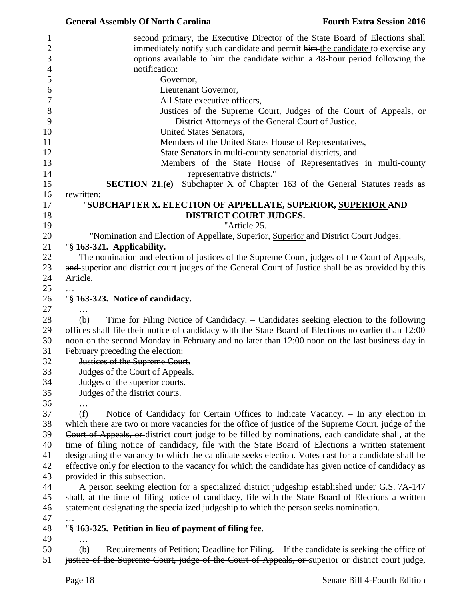| <b>General Assembly Of North Carolina</b><br><b>Fourth Extra Session 2016</b>                        |
|------------------------------------------------------------------------------------------------------|
| second primary, the Executive Director of the State Board of Elections shall                         |
| immediately notify such candidate and permit him the candidate to exercise any                       |
| options available to him the candidate within a 48-hour period following the                         |
| notification:                                                                                        |
| Governor,                                                                                            |
| Lieutenant Governor,                                                                                 |
| All State executive officers,                                                                        |
| Justices of the Supreme Court, Judges of the Court of Appeals, or                                    |
| District Attorneys of the General Court of Justice,                                                  |
| United States Senators,                                                                              |
| Members of the United States House of Representatives,                                               |
| State Senators in multi-county senatorial districts, and                                             |
| Members of the State House of Representatives in multi-county                                        |
| representative districts."                                                                           |
| <b>SECTION 21.(e)</b> Subchapter X of Chapter 163 of the General Statutes reads as                   |
| rewritten:                                                                                           |
| "SUBCHAPTER X. ELECTION OF <del>APPELLATE, SUPERIOR, SUPERIOR</del> AND                              |
| DISTRICT COURT JUDGES.                                                                               |
| "Article 25.                                                                                         |
| "Nomination and Election of Appellate, Superior, Superior and District Court Judges.                 |
| "§ 163-321. Applicability.                                                                           |
| The nomination and election of justices of the Supreme Court, judges of the Court of Appeals,        |
| and superior and district court judges of the General Court of Justice shall be as provided by this  |
| Article.                                                                                             |
|                                                                                                      |
| "§ 163-323. Notice of candidacy.                                                                     |
|                                                                                                      |
| Time for Filing Notice of Candidacy. – Candidates seeking election to the following<br>(b)           |
| offices shall file their notice of candidacy with the State Board of Elections no earlier than 12:00 |
| noon on the second Monday in February and no later than 12:00 noon on the last business day in       |
| February preceding the election:                                                                     |
| Justices of the Supreme Court.                                                                       |
| Judges of the Court of Appeals.                                                                      |
| Judges of the superior courts.                                                                       |
| Judges of the district courts.                                                                       |
|                                                                                                      |
| (f)<br>Notice of Candidacy for Certain Offices to Indicate Vacancy. - In any election in             |
| which there are two or more vacancies for the office of justice of the Supreme Court, judge of the   |
| Court of Appeals, or district court judge to be filled by nominations, each candidate shall, at the  |
| time of filing notice of candidacy, file with the State Board of Elections a written statement       |
| designating the vacancy to which the candidate seeks election. Votes cast for a candidate shall be   |
| effective only for election to the vacancy for which the candidate has given notice of candidacy as  |
| provided in this subsection.                                                                         |
| A person seeking election for a specialized district judgeship established under G.S. 7A-147         |
| shall, at the time of filing notice of candidacy, file with the State Board of Elections a written   |
| statement designating the specialized judgeship to which the person seeks nomination.                |
|                                                                                                      |
| "§ 163-325. Petition in lieu of payment of filing fee.                                               |
|                                                                                                      |
| Requirements of Petition; Deadline for Filing. - If the candidate is seeking the office of<br>(b)    |
| justice of the Supreme Court, judge of the Court of Appeals, or superior or district court judge,    |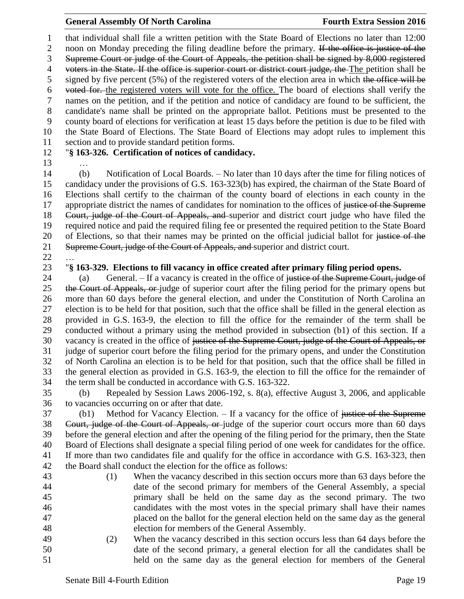that individual shall file a written petition with the State Board of Elections no later than 12:00 2 noon on Monday preceding the filing deadline before the primary. If the office is justice of the Supreme Court or judge of the Court of Appeals, the petition shall be signed by 8,000 registered 4 voters in the State. If the office is superior court or district court judge, the The petition shall be signed by five percent (5%) of the registered voters of the election area in which the office will be voted for. the registered voters will vote for the office. The board of elections shall verify the names on the petition, and if the petition and notice of candidacy are found to be sufficient, the candidate's name shall be printed on the appropriate ballot. Petitions must be presented to the county board of elections for verification at least 15 days before the petition is due to be filed with the State Board of Elections. The State Board of Elections may adopt rules to implement this section and to provide standard petition forms.

## "**§ 163-326. Certification of notices of candidacy.**

…

 (b) Notification of Local Boards. – No later than 10 days after the time for filing notices of candidacy under the provisions of G.S. 163-323(b) has expired, the chairman of the State Board of Elections shall certify to the chairman of the county board of elections in each county in the 17 appropriate district the names of candidates for nomination to the offices of justice of the Supreme Court, judge of the Court of Appeals, and superior and district court judge who have filed the required notice and paid the required filing fee or presented the required petition to the State Board 20 of Elections, so that their names may be printed on the official judicial ballot for justice of the 21 Supreme Court, judge of the Court of Appeals, and superior and district court.

…

### "**§ 163-329. Elections to fill vacancy in office created after primary filing period opens.**

24 (a) General. – If a vacancy is created in the office of justice of the Supreme Court, judge of 25 the Court of Appeals, or judge of superior court after the filing period for the primary opens but more than 60 days before the general election, and under the Constitution of North Carolina an election is to be held for that position, such that the office shall be filled in the general election as provided in G.S. 163-9, the election to fill the office for the remainder of the term shall be conducted without a primary using the method provided in subsection (b1) of this section. If a 30 vacancy is created in the office of <del>justice of the Supreme Court, judge of the Court of Appeals, or</del> judge of superior court before the filing period for the primary opens, and under the Constitution of North Carolina an election is to be held for that position, such that the office shall be filled in the general election as provided in G.S. 163-9, the election to fill the office for the remainder of the term shall be conducted in accordance with G.S. 163-322.

 (b) Repealed by Session Laws 2006-192, s. 8(a), effective August 3, 2006, and applicable to vacancies occurring on or after that date.

37 (b1) Method for Vacancy Election. – If a vacancy for the office of justice of the Supreme Court, judge of the Court of Appeals, or judge of the superior court occurs more than 60 days before the general election and after the opening of the filing period for the primary, then the State Board of Elections shall designate a special filing period of one week for candidates for the office. If more than two candidates file and qualify for the office in accordance with G.S. 163-323, then the Board shall conduct the election for the office as follows:

- (1) When the vacancy described in this section occurs more than 63 days before the date of the second primary for members of the General Assembly, a special primary shall be held on the same day as the second primary. The two candidates with the most votes in the special primary shall have their names placed on the ballot for the general election held on the same day as the general election for members of the General Assembly. (2) When the vacancy described in this section occurs less than 64 days before the date of the second primary, a general election for all the candidates shall be
- held on the same day as the general election for members of the General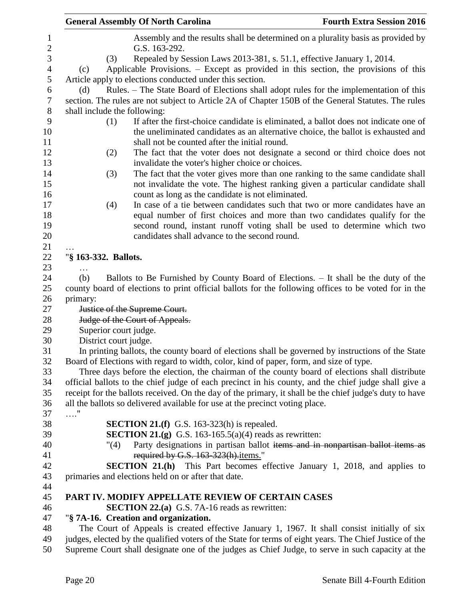| <b>General Assembly Of North Carolina</b> |                                                                                                                                                                                                                            | <b>Fourth Extra Session 2016</b> |
|-------------------------------------------|----------------------------------------------------------------------------------------------------------------------------------------------------------------------------------------------------------------------------|----------------------------------|
|                                           | Assembly and the results shall be determined on a plurality basis as provided by<br>G.S. 163-292.                                                                                                                          |                                  |
| (3)                                       | Repealed by Session Laws 2013-381, s. 51.1, effective January 1, 2014.                                                                                                                                                     |                                  |
| (c)                                       | Applicable Provisions. – Except as provided in this section, the provisions of this                                                                                                                                        |                                  |
|                                           | Article apply to elections conducted under this section.                                                                                                                                                                   |                                  |
| (d)                                       | Rules. – The State Board of Elections shall adopt rules for the implementation of this                                                                                                                                     |                                  |
|                                           | section. The rules are not subject to Article 2A of Chapter 150B of the General Statutes. The rules                                                                                                                        |                                  |
| shall include the following:              |                                                                                                                                                                                                                            |                                  |
| (1)                                       | If after the first-choice candidate is eliminated, a ballot does not indicate one of<br>the uneliminated candidates as an alternative choice, the ballot is exhausted and<br>shall not be counted after the initial round. |                                  |
| (2)                                       | The fact that the voter does not designate a second or third choice does not                                                                                                                                               |                                  |
|                                           | invalidate the voter's higher choice or choices.                                                                                                                                                                           |                                  |
| (3)                                       | The fact that the voter gives more than one ranking to the same candidate shall<br>not invalidate the vote. The highest ranking given a particular candidate shall<br>count as long as the candidate is not eliminated.    |                                  |
| (4)                                       | In case of a tie between candidates such that two or more candidates have an                                                                                                                                               |                                  |
|                                           | equal number of first choices and more than two candidates qualify for the                                                                                                                                                 |                                  |
|                                           | second round, instant runoff voting shall be used to determine which two                                                                                                                                                   |                                  |
|                                           | candidates shall advance to the second round.                                                                                                                                                                              |                                  |
|                                           |                                                                                                                                                                                                                            |                                  |
| "§ 163-332. Ballots.                      |                                                                                                                                                                                                                            |                                  |
| $\cdots$                                  |                                                                                                                                                                                                                            |                                  |
| (b)                                       | Ballots to Be Furnished by County Board of Elections. - It shall be the duty of the                                                                                                                                        |                                  |
|                                           | county board of elections to print official ballots for the following offices to be voted for in the                                                                                                                       |                                  |
| primary:                                  | Justice of the Supreme Court.                                                                                                                                                                                              |                                  |
|                                           | Judge of the Court of Appeals.                                                                                                                                                                                             |                                  |
| Superior court judge.                     |                                                                                                                                                                                                                            |                                  |
| District court judge.                     |                                                                                                                                                                                                                            |                                  |
|                                           | In printing ballots, the county board of elections shall be governed by instructions of the State                                                                                                                          |                                  |
|                                           | Board of Elections with regard to width, color, kind of paper, form, and size of type.<br>Three days before the election, the chairman of the county board of elections shall distribute                                   |                                  |
|                                           | official ballots to the chief judge of each precinct in his county, and the chief judge shall give a                                                                                                                       |                                  |
|                                           | receipt for the ballots received. On the day of the primary, it shall be the chief judge's duty to have                                                                                                                    |                                  |
|                                           | all the ballots so delivered available for use at the precinct voting place.                                                                                                                                               |                                  |
| . "                                       |                                                                                                                                                                                                                            |                                  |
|                                           | SECTION 21.(f) G.S. 163-323(h) is repealed.                                                                                                                                                                                |                                  |
|                                           | <b>SECTION 21.(g)</b> G.S. 163-165.5(a)(4) reads as rewritten:                                                                                                                                                             |                                  |
| "(4)                                      | Party designations in partisan ballot items and in nonpartisan ballot items as                                                                                                                                             |                                  |
|                                           | required by G.S. 163-323(h).items."                                                                                                                                                                                        |                                  |
|                                           | <b>SECTION 21.(h)</b> This Part becomes effective January 1, 2018, and applies to                                                                                                                                          |                                  |
|                                           | primaries and elections held on or after that date.                                                                                                                                                                        |                                  |
|                                           |                                                                                                                                                                                                                            |                                  |
|                                           | PART IV. MODIFY APPELLATE REVIEW OF CERTAIN CASES                                                                                                                                                                          |                                  |
|                                           | <b>SECTION 22.(a)</b> G.S. 7A-16 reads as rewritten:                                                                                                                                                                       |                                  |
|                                           | "§ 7A-16. Creation and organization.                                                                                                                                                                                       |                                  |
|                                           | The Court of Appeals is created effective January 1, 1967. It shall consist initially of six<br>judges, elected by the qualified voters of the State for terms of eight years. The Chief Justice of the                    |                                  |
|                                           | Supreme Court shall designate one of the judges as Chief Judge, to serve in such capacity at the                                                                                                                           |                                  |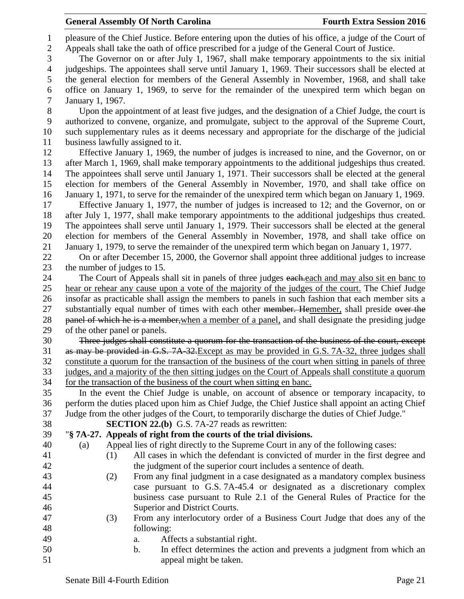pleasure of the Chief Justice. Before entering upon the duties of his office, a judge of the Court of Appeals shall take the oath of office prescribed for a judge of the General Court of Justice. The Governor on or after July 1, 1967, shall make temporary appointments to the six initial judgeships. The appointees shall serve until January 1, 1969. Their successors shall be elected at the general election for members of the General Assembly in November, 1968, and shall take office on January 1, 1969, to serve for the remainder of the unexpired term which began on January 1, 1967. Upon the appointment of at least five judges, and the designation of a Chief Judge, the court is authorized to convene, organize, and promulgate, subject to the approval of the Supreme Court, such supplementary rules as it deems necessary and appropriate for the discharge of the judicial business lawfully assigned to it. Effective January 1, 1969, the number of judges is increased to nine, and the Governor, on or after March 1, 1969, shall make temporary appointments to the additional judgeships thus created. The appointees shall serve until January 1, 1971. Their successors shall be elected at the general election for members of the General Assembly in November, 1970, and shall take office on January 1, 1971, to serve for the remainder of the unexpired term which began on January 1, 1969. Effective January 1, 1977, the number of judges is increased to 12; and the Governor, on or after July 1, 1977, shall make temporary appointments to the additional judgeships thus created. The appointees shall serve until January 1, 1979. Their successors shall be elected at the general election for members of the General Assembly in November, 1978, and shall take office on January 1, 1979, to serve the remainder of the unexpired term which began on January 1, 1977. On or after December 15, 2000, the Governor shall appoint three additional judges to increase 23 the number of judges to 15. 24 The Court of Appeals shall sit in panels of three judges each each and may also sit en banc to hear or rehear any cause upon a vote of the majority of the judges of the court. The Chief Judge insofar as practicable shall assign the members to panels in such fashion that each member sits a 27 substantially equal number of times with each other member. Hemember, shall preside over the 28 panel of which he is a member, when a member of a panel, and shall designate the presiding judge of the other panel or panels. Three judges shall constitute a quorum for the transaction of the business of the court, except as may be provided in G.S. 7A-32.Except as may be provided in G.S. 7A-32, three judges shall constitute a quorum for the transaction of the business of the court when sitting in panels of three judges, and a majority of the then sitting judges on the Court of Appeals shall constitute a quorum for the transaction of the business of the court when sitting en banc. In the event the Chief Judge is unable, on account of absence or temporary incapacity, to perform the duties placed upon him as Chief Judge, the Chief Justice shall appoint an acting Chief Judge from the other judges of the Court, to temporarily discharge the duties of Chief Judge." **SECTION 22.(b)** G.S. 7A-27 reads as rewritten: "**§ 7A-27. Appeals of right from the courts of the trial divisions.** (a) Appeal lies of right directly to the Supreme Court in any of the following cases: (1) All cases in which the defendant is convicted of murder in the first degree and the judgment of the superior court includes a sentence of death. (2) From any final judgment in a case designated as a mandatory complex business case pursuant to G.S. 7A-45.4 or designated as a discretionary complex business case pursuant to Rule 2.1 of the General Rules of Practice for the Superior and District Courts. (3) From any interlocutory order of a Business Court Judge that does any of the following: a. Affects a substantial right. b. In effect determines the action and prevents a judgment from which an appeal might be taken.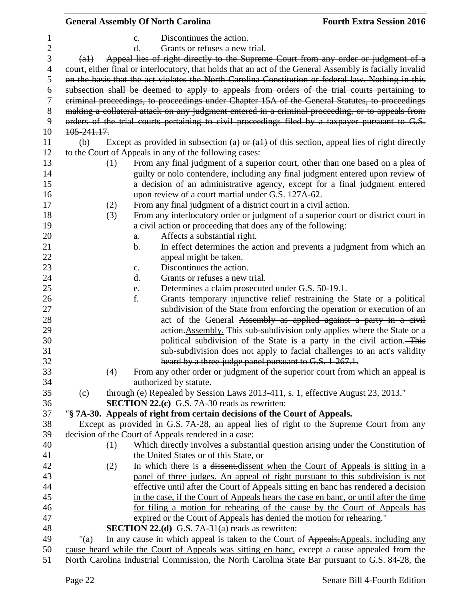|                | <b>General Assembly Of North Carolina</b>                                  |                                                                                  | <b>Fourth Extra Session 2016</b>                                                                         |
|----------------|----------------------------------------------------------------------------|----------------------------------------------------------------------------------|----------------------------------------------------------------------------------------------------------|
| 1              | $\mathbf{c}$ .                                                             | Discontinues the action.                                                         |                                                                                                          |
| $\overline{c}$ | d.                                                                         | Grants or refuses a new trial.                                                   |                                                                                                          |
| 3              | (a1)                                                                       |                                                                                  | Appeal lies of right directly to the Supreme Court from any order or judgment of a                       |
| 4              |                                                                            |                                                                                  | court, either final or interlocutory, that holds that an act of the General Assembly is facially invalid |
| 5              |                                                                            |                                                                                  | on the basis that the act violates the North Carolina Constitution or federal law. Nothing in this       |
| 6              |                                                                            |                                                                                  | subsection shall be deemed to apply to appeals from orders of the trial courts pertaining to             |
| 7              |                                                                            |                                                                                  | criminal proceedings, to proceedings under Chapter 15A of the General Statutes, to proceedings           |
| 8              |                                                                            |                                                                                  | making a collateral attack on any judgment entered in a criminal proceeding, or to appeals from          |
| 9              |                                                                            |                                                                                  | orders of the trial courts pertaining to civil proceedings filed by a taxpayer pursuant to G.S.          |
| 10             | 105-241.17.                                                                |                                                                                  |                                                                                                          |
| 11             | (b)                                                                        |                                                                                  | Except as provided in subsection (a) $\Theta$ (a1) of this section, appeal lies of right directly        |
| 12             | to the Court of Appeals in any of the following cases:                     |                                                                                  |                                                                                                          |
| 13             | (1)                                                                        |                                                                                  | From any final judgment of a superior court, other than one based on a plea of                           |
| 14             |                                                                            |                                                                                  | guilty or nolo contendere, including any final judgment entered upon review of                           |
| 15             |                                                                            |                                                                                  | a decision of an administrative agency, except for a final judgment entered                              |
| 16             |                                                                            | upon review of a court martial under G.S. 127A-62.                               |                                                                                                          |
| 17             | (2)                                                                        | From any final judgment of a district court in a civil action.                   |                                                                                                          |
| 18             | (3)                                                                        |                                                                                  | From any interlocutory order or judgment of a superior court or district court in                        |
| 19             |                                                                            | a civil action or proceeding that does any of the following:                     |                                                                                                          |
| 20             | a.                                                                         | Affects a substantial right.                                                     |                                                                                                          |
| 21             | b.                                                                         |                                                                                  | In effect determines the action and prevents a judgment from which an                                    |
| 22             |                                                                            | appeal might be taken.                                                           |                                                                                                          |
| 23             | c.                                                                         | Discontinues the action.                                                         |                                                                                                          |
| 24             | d.                                                                         | Grants or refuses a new trial.                                                   |                                                                                                          |
| 25             | e.                                                                         | Determines a claim prosecuted under G.S. 50-19.1.                                |                                                                                                          |
| 26             | f.                                                                         |                                                                                  | Grants temporary injunctive relief restraining the State or a political                                  |
| 27             |                                                                            |                                                                                  | subdivision of the State from enforcing the operation or execution of an                                 |
| 28             |                                                                            |                                                                                  | act of the General Assembly as applied against a party in a civil                                        |
| 29             |                                                                            |                                                                                  | action. Assembly. This sub-subdivision only applies where the State or a                                 |
| 30             |                                                                            |                                                                                  | political subdivision of the State is a party in the civil action. This                                  |
| 31             |                                                                            |                                                                                  | sub subdivision does not apply to facial challenges to an act's validity                                 |
| 32             |                                                                            | heard by a three-judge panel pursuant to G.S. 1-267.1.                           |                                                                                                          |
| 33             | (4)                                                                        |                                                                                  | From any other order or judgment of the superior court from which an appeal is                           |
| 34             | authorized by statute.                                                     |                                                                                  |                                                                                                          |
| 35             | (c)                                                                        | through (e) Repealed by Session Laws 2013-411, s. 1, effective August 23, 2013." |                                                                                                          |
| 36<br>37       |                                                                            | <b>SECTION 22.(c)</b> G.S. 7A-30 reads as rewritten:                             |                                                                                                          |
| 38             | "§ 7A-30. Appeals of right from certain decisions of the Court of Appeals. |                                                                                  | Except as provided in G.S. 7A-28, an appeal lies of right to the Supreme Court from any                  |
| 39             | decision of the Court of Appeals rendered in a case:                       |                                                                                  |                                                                                                          |
| 40             | (1)                                                                        |                                                                                  | Which directly involves a substantial question arising under the Constitution of                         |
| 41             |                                                                            | the United States or of this State, or                                           |                                                                                                          |
| 42             | (2)                                                                        |                                                                                  | In which there is a dissent-dissent when the Court of Appeals is sitting in a                            |
| 43             |                                                                            |                                                                                  | panel of three judges. An appeal of right pursuant to this subdivision is not                            |
| 44             |                                                                            |                                                                                  | effective until after the Court of Appeals sitting en banc has rendered a decision                       |
| 45             |                                                                            |                                                                                  | in the case, if the Court of Appeals hears the case en banc, or until after the time                     |
| 46             |                                                                            |                                                                                  | for filing a motion for rehearing of the cause by the Court of Appeals has                               |
| 47             |                                                                            | expired or the Court of Appeals has denied the motion for rehearing."            |                                                                                                          |
| 48             |                                                                            | <b>SECTION 22.(d)</b> G.S. 7A-31(a) reads as rewritten:                          |                                                                                                          |
| 49             | " $(a)$                                                                    |                                                                                  | In any cause in which appeal is taken to the Court of Appeals, Appeals, including any                    |
| 50             |                                                                            |                                                                                  | cause heard while the Court of Appeals was sitting en banc, except a cause appealed from the             |
| 51             |                                                                            |                                                                                  | North Carolina Industrial Commission, the North Carolina State Bar pursuant to G.S. 84-28, the           |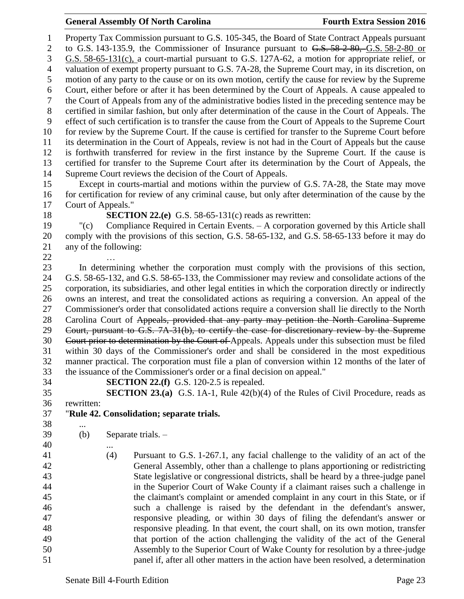Property Tax Commission pursuant to G.S. 105-345, the Board of State Contract Appeals pursuant 2 to G.S. 143-135.9, the Commissioner of Insurance pursuant to G.S. 58-2-80, G.S. 58-2-80 or G.S. 58-65-131(c), a court-martial pursuant to G.S. 127A-62, a motion for appropriate relief, or valuation of exempt property pursuant to G.S. 7A-28, the Supreme Court may, in its discretion, on motion of any party to the cause or on its own motion, certify the cause for review by the Supreme Court, either before or after it has been determined by the Court of Appeals. A cause appealed to the Court of Appeals from any of the administrative bodies listed in the preceding sentence may be certified in similar fashion, but only after determination of the cause in the Court of Appeals. The effect of such certification is to transfer the cause from the Court of Appeals to the Supreme Court for review by the Supreme Court. If the cause is certified for transfer to the Supreme Court before its determination in the Court of Appeals, review is not had in the Court of Appeals but the cause is forthwith transferred for review in the first instance by the Supreme Court. If the cause is certified for transfer to the Supreme Court after its determination by the Court of Appeals, the Supreme Court reviews the decision of the Court of Appeals. Except in courts-martial and motions within the purview of G.S. 7A-28, the State may move for certification for review of any criminal cause, but only after determination of the cause by the Court of Appeals." **SECTION 22.(e)** G.S. 58-65-131(c) reads as rewritten: "(c) Compliance Required in Certain Events. – A corporation governed by this Article shall comply with the provisions of this section, G.S. 58-65-132, and G.S. 58-65-133 before it may do any of the following: … In determining whether the corporation must comply with the provisions of this section, G.S. 58-65-132, and G.S. 58-65-133, the Commissioner may review and consolidate actions of the corporation, its subsidiaries, and other legal entities in which the corporation directly or indirectly owns an interest, and treat the consolidated actions as requiring a conversion. An appeal of the Commissioner's order that consolidated actions require a conversion shall lie directly to the North 28 Carolina Court of Appeals, provided that any party may petition the North Carolina Supreme Court, pursuant to G.S. 7A-31(b), to certify the case for discretionary review by the Supreme Court prior to determination by the Court of Appeals. Appeals under this subsection must be filed within 30 days of the Commissioner's order and shall be considered in the most expeditious manner practical. The corporation must file a plan of conversion within 12 months of the later of the issuance of the Commissioner's order or a final decision on appeal." **SECTION 22.(f)** G.S. 120-2.5 is repealed. **SECTION 23.(a)** G.S. 1A-1, Rule 42(b)(4) of the Rules of Civil Procedure, reads as rewritten: "**Rule 42. Consolidation; separate trials.** ... (b) Separate trials. – (4) Pursuant to G.S. 1-267.1, any facial challenge to the validity of an act of the General Assembly, other than a challenge to plans apportioning or redistricting State legislative or congressional districts, shall be heard by a three-judge panel in the Superior Court of Wake County if a claimant raises such a challenge in the claimant's complaint or amended complaint in any court in this State, or if such a challenge is raised by the defendant in the defendant's answer, responsive pleading, or within 30 days of filing the defendant's answer or responsive pleading. In that event, the court shall, on its own motion, transfer that portion of the action challenging the validity of the act of the General Assembly to the Superior Court of Wake County for resolution by a three-judge panel if, after all other matters in the action have been resolved, a determination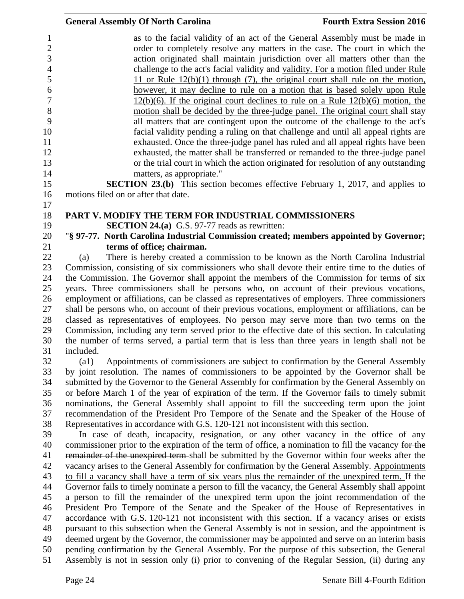| $\mathbf{1}$<br>$\mathbf{2}$ | as to the facial validity of an act of the General Assembly must be made in                                                                                           |
|------------------------------|-----------------------------------------------------------------------------------------------------------------------------------------------------------------------|
| 3                            | order to completely resolve any matters in the case. The court in which the<br>action originated shall maintain jurisdiction over all matters other than the          |
| $\overline{4}$               |                                                                                                                                                                       |
| 5                            | challenge to the act's facial validity and validity. For a motion filed under Rule<br>11 or Rule $12(b)(1)$ through (7), the original court shall rule on the motion, |
| 6                            |                                                                                                                                                                       |
| 7                            | however, it may decline to rule on a motion that is based solely upon Rule                                                                                            |
|                              | $12(b)(6)$ . If the original court declines to rule on a Rule $12(b)(6)$ motion, the                                                                                  |
| $8\,$<br>9                   | motion shall be decided by the three-judge panel. The original court shall stay                                                                                       |
| 10                           | all matters that are contingent upon the outcome of the challenge to the act's                                                                                        |
| 11                           | facial validity pending a ruling on that challenge and until all appeal rights are                                                                                    |
| 12                           | exhausted. Once the three-judge panel has ruled and all appeal rights have been<br>exhausted, the matter shall be transferred or remanded to the three-judge panel    |
| 13                           | or the trial court in which the action originated for resolution of any outstanding                                                                                   |
| 14                           | matters, as appropriate."                                                                                                                                             |
| 15                           | <b>SECTION 23.(b)</b> This section becomes effective February 1, 2017, and applies to                                                                                 |
| 16                           | motions filed on or after that date.                                                                                                                                  |
|                              |                                                                                                                                                                       |
| 17<br>18                     | PART V. MODIFY THE TERM FOR INDUSTRIAL COMMISSIONERS                                                                                                                  |
| 19                           | <b>SECTION 24.(a)</b> G.S. 97-77 reads as rewritten:                                                                                                                  |
| 20                           | "§ 97-77. North Carolina Industrial Commission created; members appointed by Governor;                                                                                |
| 21                           | terms of office; chairman.                                                                                                                                            |
| 22                           | There is hereby created a commission to be known as the North Carolina Industrial<br>(a)                                                                              |
| 23                           | Commission, consisting of six commissioners who shall devote their entire time to the duties of                                                                       |
| 24                           | the Commission. The Governor shall appoint the members of the Commission for terms of six                                                                             |
| 25                           | years. Three commissioners shall be persons who, on account of their previous vocations,                                                                              |
| 26                           | employment or affiliations, can be classed as representatives of employers. Three commissioners                                                                       |
| 27                           | shall be persons who, on account of their previous vocations, employment or affiliations, can be                                                                      |
| 28                           | classed as representatives of employees. No person may serve more than two terms on the                                                                               |
| 29                           | Commission, including any term served prior to the effective date of this section. In calculating                                                                     |
| 30                           | the number of terms served, a partial term that is less than three years in length shall not be                                                                       |
| 31                           | included.                                                                                                                                                             |
| 32                           | (a1)<br>Appointments of commissioners are subject to confirmation by the General Assembly                                                                             |
| 33                           | by joint resolution. The names of commissioners to be appointed by the Governor shall be                                                                              |
| 34                           | submitted by the Governor to the General Assembly for confirmation by the General Assembly on                                                                         |
| 35                           | or before March 1 of the year of expiration of the term. If the Governor fails to timely submit                                                                       |
| 36                           | nominations, the General Assembly shall appoint to fill the succeeding term upon the joint                                                                            |
| 37                           | recommendation of the President Pro Tempore of the Senate and the Speaker of the House of                                                                             |
| 38                           | Representatives in accordance with G.S. 120-121 not inconsistent with this section.                                                                                   |
| 39                           | In case of death, incapacity, resignation, or any other vacancy in the office of any                                                                                  |
| 40                           | commissioner prior to the expiration of the term of office, a nomination to fill the vacancy for the                                                                  |
| 41                           | remainder of the unexpired term-shall be submitted by the Governor within four weeks after the                                                                        |
| 42                           | vacancy arises to the General Assembly for confirmation by the General Assembly. Appointments                                                                         |
| 43                           | to fill a vacancy shall have a term of six years plus the remainder of the unexpired term. If the                                                                     |
| 44                           | Governor fails to timely nominate a person to fill the vacancy, the General Assembly shall appoint                                                                    |
| 45                           | a person to fill the remainder of the unexpired term upon the joint recommendation of the                                                                             |
| 46                           | President Pro Tempore of the Senate and the Speaker of the House of Representatives in                                                                                |
| 47                           | accordance with G.S. 120-121 not inconsistent with this section. If a vacancy arises or exists                                                                        |
| 48                           | pursuant to this subsection when the General Assembly is not in session, and the appointment is                                                                       |
| 49                           | deemed urgent by the Governor, the commissioner may be appointed and serve on an interim basis                                                                        |
| 50                           | pending confirmation by the General Assembly. For the purpose of this subsection, the General                                                                         |
| 51                           | Assembly is not in session only (i) prior to convening of the Regular Session, (ii) during any                                                                        |
|                              |                                                                                                                                                                       |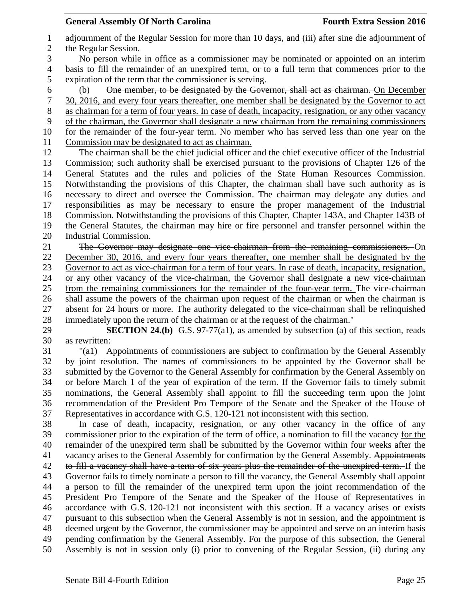adjournment of the Regular Session for more than 10 days, and (iii) after sine die adjournment of the Regular Session.

 No person while in office as a commissioner may be nominated or appointed on an interim basis to fill the remainder of an unexpired term, or to a full term that commences prior to the expiration of the term that the commissioner is serving.

 (b) One member, to be designated by the Governor, shall act as chairman. On December 30, 2016, and every four years thereafter, one member shall be designated by the Governor to act as chairman for a term of four years. In case of death, incapacity, resignation, or any other vacancy of the chairman, the Governor shall designate a new chairman from the remaining commissioners for the remainder of the four-year term. No member who has served less than one year on the Commission may be designated to act as chairman.

 The chairman shall be the chief judicial officer and the chief executive officer of the Industrial Commission; such authority shall be exercised pursuant to the provisions of Chapter 126 of the General Statutes and the rules and policies of the State Human Resources Commission. Notwithstanding the provisions of this Chapter, the chairman shall have such authority as is necessary to direct and oversee the Commission. The chairman may delegate any duties and responsibilities as may be necessary to ensure the proper management of the Industrial Commission. Notwithstanding the provisions of this Chapter, Chapter 143A, and Chapter 143B of the General Statutes, the chairman may hire or fire personnel and transfer personnel within the Industrial Commission.

 The Governor may designate one vice-chairman from the remaining commissioners. On December 30, 2016, and every four years thereafter, one member shall be designated by the Governor to act as vice-chairman for a term of four years. In case of death, incapacity, resignation, or any other vacancy of the vice-chairman, the Governor shall designate a new vice-chairman from the remaining commissioners for the remainder of the four-year term. The vice-chairman shall assume the powers of the chairman upon request of the chairman or when the chairman is absent for 24 hours or more. The authority delegated to the vice-chairman shall be relinquished immediately upon the return of the chairman or at the request of the chairman."

 **SECTION 24.(b)** G.S. 97-77(a1), as amended by subsection (a) of this section, reads as rewritten:

 "(a1) Appointments of commissioners are subject to confirmation by the General Assembly by joint resolution. The names of commissioners to be appointed by the Governor shall be submitted by the Governor to the General Assembly for confirmation by the General Assembly on or before March 1 of the year of expiration of the term. If the Governor fails to timely submit nominations, the General Assembly shall appoint to fill the succeeding term upon the joint recommendation of the President Pro Tempore of the Senate and the Speaker of the House of Representatives in accordance with G.S. 120-121 not inconsistent with this section.

 In case of death, incapacity, resignation, or any other vacancy in the office of any commissioner prior to the expiration of the term of office, a nomination to fill the vacancy for the remainder of the unexpired term shall be submitted by the Governor within four weeks after the 41 vacancy arises to the General Assembly for confirmation by the General Assembly. Appointments 42 to fill a vacancy shall have a term of six years plus the remainder of the unexpired term. If the Governor fails to timely nominate a person to fill the vacancy, the General Assembly shall appoint a person to fill the remainder of the unexpired term upon the joint recommendation of the President Pro Tempore of the Senate and the Speaker of the House of Representatives in accordance with G.S. 120-121 not inconsistent with this section. If a vacancy arises or exists pursuant to this subsection when the General Assembly is not in session, and the appointment is deemed urgent by the Governor, the commissioner may be appointed and serve on an interim basis pending confirmation by the General Assembly. For the purpose of this subsection, the General Assembly is not in session only (i) prior to convening of the Regular Session, (ii) during any